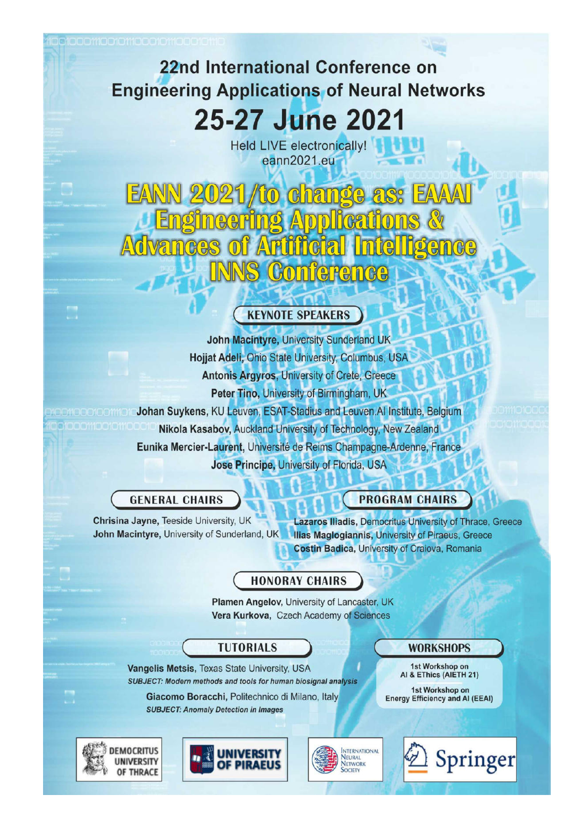# 22nd International Conference on **Engineering Applications of Neural Networks**

# 25-27 June 2021

**Held LIVE electronically!** eann2021.eu

**EANN 202** <u>chamge as</u> **INCAS** nce rerence **UOIN** 

# **KEYNOTE SPEAKERS**

John Macintyre, University Sunderland UK Hojjat Adeli, Ohio State University, Columbus, USA **Antonis Argyros, University of Crete, Greece** Peter Tino, University of Birmingham, UK

Johan Suykens, KU Leuven, ESAT-Stadius and Leuven.Al Institute, Belgium 1011000100111101 **OMIOO101110001** Nikola Kasabov, Auckland University of Technology, New Zealand Eunika Mercier-Laurent, Université de Reims Champagne-Ardenne, France Jose Principe, University of Florida, USA

# **GENERAL CHAIRS**

**C1000111001011100010111000101110** 

Chrisina Jayne, Teeside University, UK John Macintyre, University of Sunderland, UK

# **PROGRAM CHAIRS**

Lazaros Iliadis, Democritus University of Thrace, Greece Ilias Maglogiannis, University of Piraeus, Greece **Costin Badica, University of Craiova, Romania** 

# **HONORAY CHAIRS**

Plamen Angelov, University of Lancaster, UK Vera Kurkova, Czech Academy of Sciences

# **TUTORIALS**

Vangelis Metsis, Texas State University, USA **SUBJECT: Modern methods and tools for human biosignal analysis** 

Giacomo Boracchi, Politechnico di Milano, Italy **SUBJECT: Anomaly Detection in Images** 







**WORKSHOPS** 

1st Workshop on AI & EThics (AIETH 21)

1st Workshop on **Energy Efficiency and AI (EEAI)** 

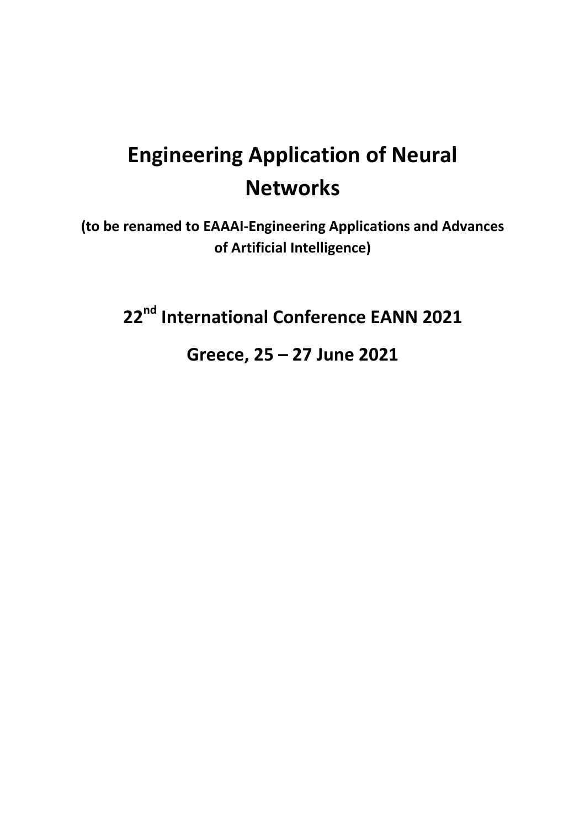# **Engineering Application of Neural Networks**

**(to be renamed to EAAAI-Engineering Applications and Advances of Artificial Intelligence)** 

**22nd International Conference EANN 2021** 

**Greece, 25 – 27 June 2021**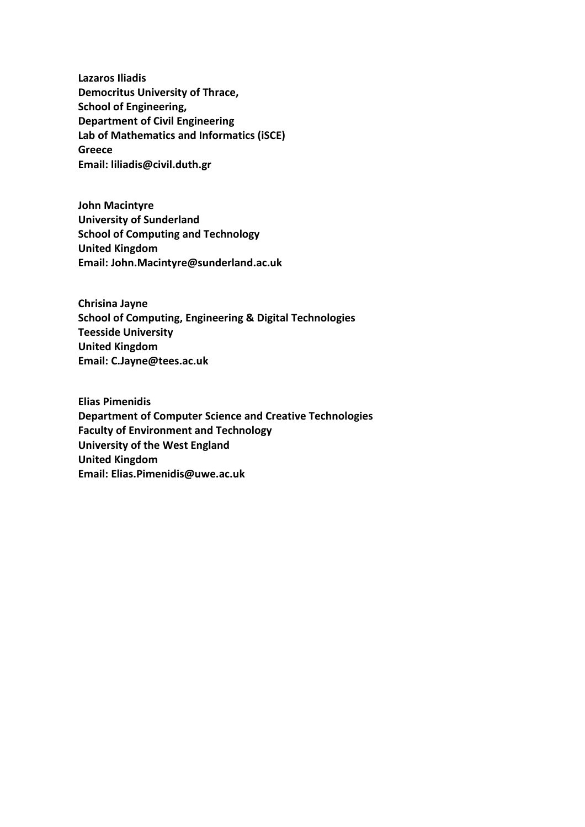**Lazaros Iliadis Democritus University of Thrace, School of Engineering, Department of Civil Engineering Lab of Mathematics and Informatics (iSCE) Greece Email: liliadis@civil.duth.gr** 

**John Macintyre University of Sunderland School of Computing and Technology United Kingdom Email: John.Macintyre@sunderland.ac.uk** 

**Chrisina Jayne School of Computing, Engineering & Digital Technologies Teesside University United Kingdom Email: C.Jayne@tees.ac.uk** 

**Elias Pimenidis Department of Computer Science and Creative Technologies Faculty of Environment and Technology University of the West England United Kingdom Email: Elias.Pimenidis@uwe.ac.uk**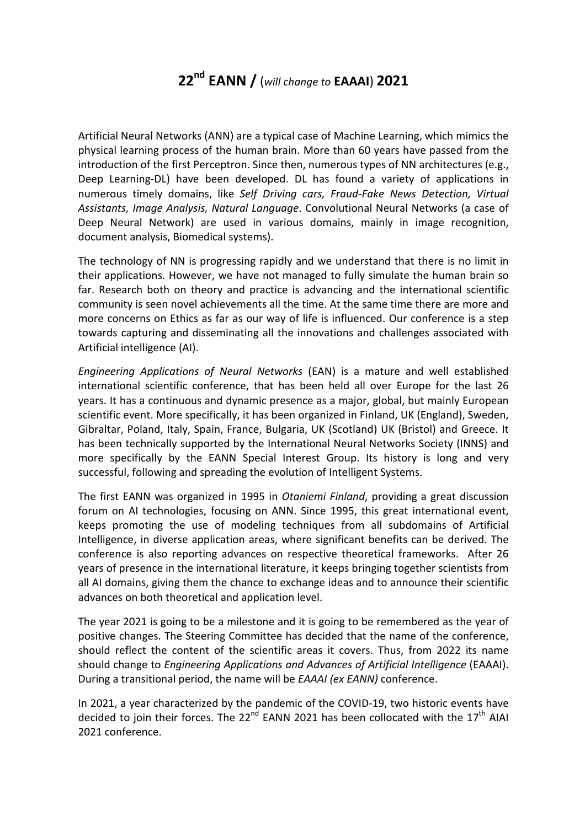# **22nd EANN /** (*will change to* **EAAAI**) **2021**

Artificial Neural Networks (ANN) are a typical case of Machine Learning, which mimics the physical learning process of the human brain. More than 60 years have passed from the introduction of the first Perceptron. Since then, numerous types of NN architectures (e.g., Deep Learning-DL) have been developed. DL has found a variety of applications in numerous timely domains, like *Self Driving cars, Fraud-Fake News Detection, Virtual Assistants, Image Analysis, Natural Language*. Convolutional Neural Networks (a case of Deep Neural Network) are used in various domains, mainly in image recognition, document analysis, Biomedical systems).

The technology of NN is progressing rapidly and we understand that there is no limit in their applications. However, we have not managed to fully simulate the human brain so far. Research both on theory and practice is advancing and the international scientific community is seen novel achievements all the time. At the same time there are more and more concerns on Ethics as far as our way of life is influenced. Our conference is a step towards capturing and disseminating all the innovations and challenges associated with Artificial intelligence (AI).

*Engineering Applications of Neural Networks* (EAN) is a mature and well established international scientific conference, that has been held all over Europe for the last 26 years. It has a continuous and dynamic presence as a major, global, but mainly European scientific event. More specifically, it has been organized in Finland, UK (England), Sweden, Gibraltar, Poland, Italy, Spain, France, Bulgaria, UK (Scotland) UK (Bristol) and Greece. It has been technically supported by the International Neural Networks Society (INNS) and more specifically by the EANN Special Interest Group. Its history is long and very successful, following and spreading the evolution of Intelligent Systems.

The first EANN was organized in 1995 in *Otaniemi Finland*, providing a great discussion forum on AI technologies, focusing on ANN. Since 1995, this great international event, keeps promoting the use of modeling techniques from all subdomains of Artificial Intelligence, in diverse application areas, where significant benefits can be derived. The conference is also reporting advances on respective theoretical frameworks. After 26 years of presence in the international literature, it keeps bringing together scientists from all AI domains, giving them the chance to exchange ideas and to announce their scientific advances on both theoretical and application level.

The year 2021 is going to be a milestone and it is going to be remembered as the year of positive changes. The Steering Committee has decided that the name of the conference, should reflect the content of the scientific areas it covers. Thus, from 2022 its name should change to *Engineering Applications and Advances of Artificial Intelligence* (EAAAI). During a transitional period, the name will be *EAAAI (ex EANN)* conference.

In 2021, a year characterized by the pandemic of the COVID-19, two historic events have decided to join their forces. The 22<sup>nd</sup> EANN 2021 has been collocated with the  $17<sup>th</sup>$  AIAI 2021 conference.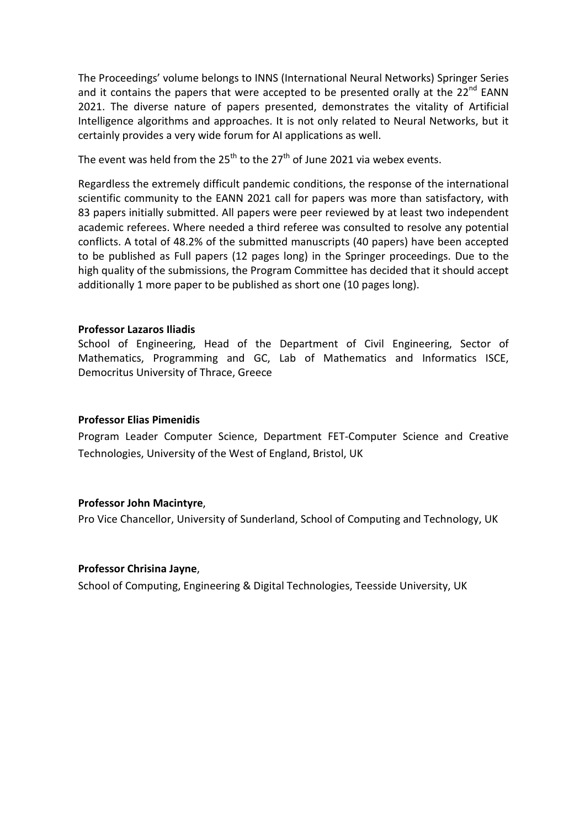The Proceedings' volume belongs to INNS (International Neural Networks) Springer Series and it contains the papers that were accepted to be presented orally at the  $22^{nd}$  EANN 2021. The diverse nature of papers presented, demonstrates the vitality of Artificial Intelligence algorithms and approaches. It is not only related to Neural Networks, but it certainly provides a very wide forum for AI applications as well.

The event was held from the 25<sup>th</sup> to the 27<sup>th</sup> of June 2021 via webex events.

Regardless the extremely difficult pandemic conditions, the response of the international scientific community to the EANN 2021 call for papers was more than satisfactory, with 83 papers initially submitted. All papers were peer reviewed by at least two independent academic referees. Where needed a third referee was consulted to resolve any potential conflicts. A total of 48.2% of the submitted manuscripts (40 papers) have been accepted to be published as Full papers (12 pages long) in the Springer proceedings. Due to the high quality of the submissions, the Program Committee has decided that it should accept additionally 1 more paper to be published as short one (10 pages long).

# **Professor Lazaros Iliadis**

School of Engineering, Head of the Department of Civil Engineering, Sector of Mathematics, Programming and GC, Lab of Mathematics and Informatics ISCE, Democritus University of Thrace, Greece

# **Professor Elias Pimenidis**

Program Leader Computer Science, Department FET-Computer Science and Creative Technologies, University of the West of England, Bristol, UK

# **Professor John Macintyre**,

Pro Vice Chancellor, University of Sunderland, School of Computing and Technology, UK

# **Professor Chrisina Jayne**,

School of Computing, Engineering & Digital Technologies, Teesside University, UK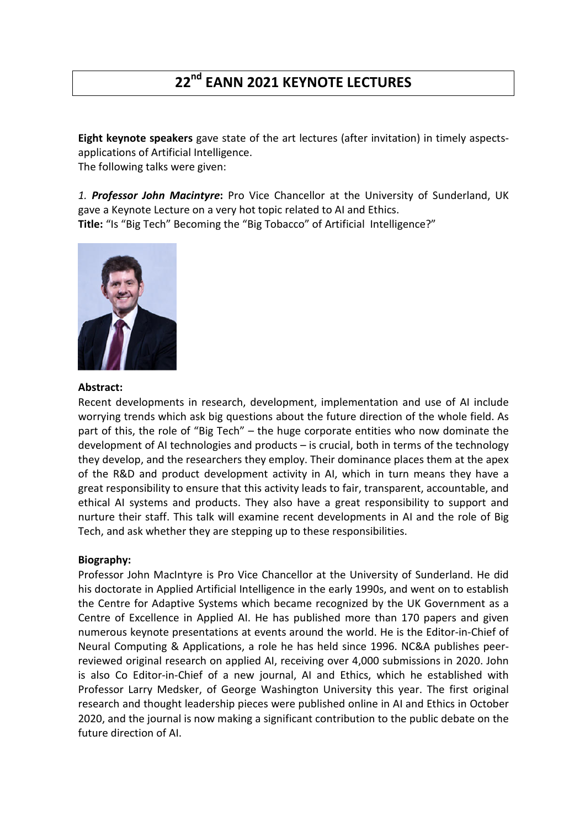# **22nd EANN 2021 KEYNOTE LECTURES**

**Eight keynote speakers** gave state of the art lectures (after invitation) in timely aspectsapplications of Artificial Intelligence.

The following talks were given:

*1. Professor John Macintyre***:** Pro Vice Chancellor at the University of Sunderland, UK gave a Keynote Lecture on a very hot topic related to AI and Ethics. Title: "Is "Big Tech" Becoming the "Big Tobacco" of Artificial Intelligence?"



#### **Abstract:**

Recent developments in research, development, implementation and use of AI include worrying trends which ask big questions about the future direction of the whole field. As part of this, the role of "Big Tech" – the huge corporate entities who now dominate the development of AI technologies and products – is crucial, both in terms of the technology they develop, and the researchers they employ. Their dominance places them at the apex of the R&D and product development activity in AI, which in turn means they have a great responsibility to ensure that this activity leads to fair, transparent, accountable, and ethical AI systems and products. They also have a great responsibility to support and nurture their staff. This talk will examine recent developments in AI and the role of Big Tech, and ask whether they are stepping up to these responsibilities.

# **Biography:**

Professor John MacIntyre is Pro Vice Chancellor at the University of Sunderland. He did his doctorate in Applied Artificial Intelligence in the early 1990s, and went on to establish the Centre for Adaptive Systems which became recognized by the UK Government as a Centre of Excellence in Applied AI. He has published more than 170 papers and given numerous keynote presentations at events around the world. He is the Editor-in-Chief of Neural Computing & Applications, a role he has held since 1996. NC&A publishes peerreviewed original research on applied AI, receiving over 4,000 submissions in 2020. John is also Co Editor-in-Chief of a new journal, AI and Ethics, which he established with Professor Larry Medsker, of George Washington University this year. The first original research and thought leadership pieces were published online in AI and Ethics in October 2020, and the journal is now making a significant contribution to the public debate on the future direction of AI.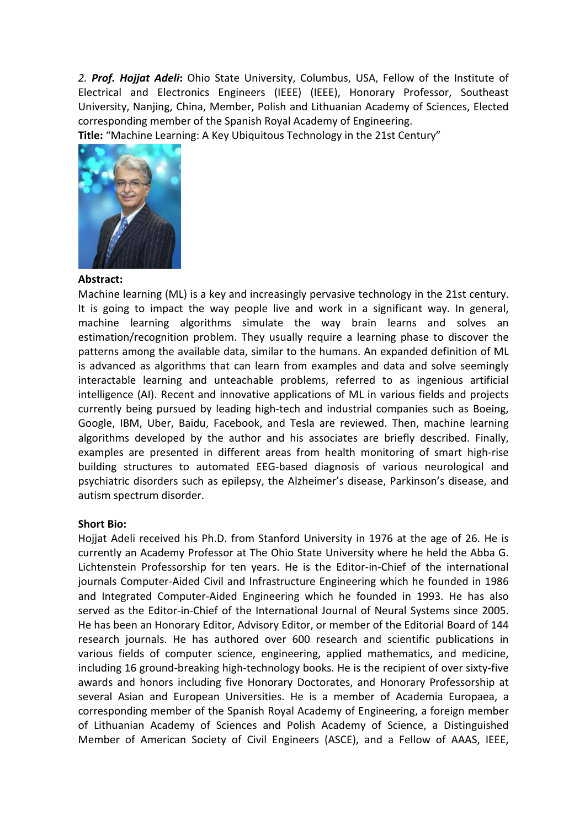*2. Prof. Hojjat Adeli***:** Ohio State University, Columbus, USA, Fellow of the Institute of Electrical and Electronics Engineers (IEEE) (IEEE), Honorary Professor, Southeast University, Nanjing, China, Member, Polish and Lithuanian Academy of Sciences, Elected corresponding member of the Spanish Royal Academy of Engineering.

**Title:** "Machine Learning: A Key Ubiquitous Technology in the 21st Century"



#### **Abstract:**

Machine learning (ML) is a key and increasingly pervasive technology in the 21st century. It is going to impact the way people live and work in a significant way. In general, machine learning algorithms simulate the way brain learns and solves an estimation/recognition problem. They usually require a learning phase to discover the patterns among the available data, similar to the humans. An expanded definition of ML is advanced as algorithms that can learn from examples and data and solve seemingly interactable learning and unteachable problems, referred to as ingenious artificial intelligence (AI). Recent and innovative applications of ML in various fields and projects currently being pursued by leading high-tech and industrial companies such as Boeing, Google, IBM, Uber, Baidu, Facebook, and Tesla are reviewed. Then, machine learning algorithms developed by the author and his associates are briefly described. Finally, examples are presented in different areas from health monitoring of smart high-rise building structures to automated EEG-based diagnosis of various neurological and psychiatric disorders such as epilepsy, the Alzheimer's disease, Parkinson's disease, and autism spectrum disorder.

# **Short Bio:**

Hojjat Adeli received his Ph.D. from Stanford University in 1976 at the age of 26. He is currently an Academy Professor at The Ohio State University where he held the Abba G. Lichtenstein Professorship for ten years. He is the Editor-in-Chief of the international journals Computer-Aided Civil and Infrastructure Engineering which he founded in 1986 and Integrated Computer-Aided Engineering which he founded in 1993. He has also served as the Editor-in-Chief of the International Journal of Neural Systems since 2005. He has been an Honorary Editor, Advisory Editor, or member of the Editorial Board of 144 research journals. He has authored over 600 research and scientific publications in various fields of computer science, engineering, applied mathematics, and medicine, including 16 ground-breaking high-technology books. He is the recipient of over sixty-five awards and honors including five Honorary Doctorates, and Honorary Professorship at several Asian and European Universities. He is a member of Academia Europaea, a corresponding member of the Spanish Royal Academy of Engineering, a foreign member of Lithuanian Academy of Sciences and Polish Academy of Science, a Distinguished Member of American Society of Civil Engineers (ASCE), and a Fellow of AAAS, IEEE,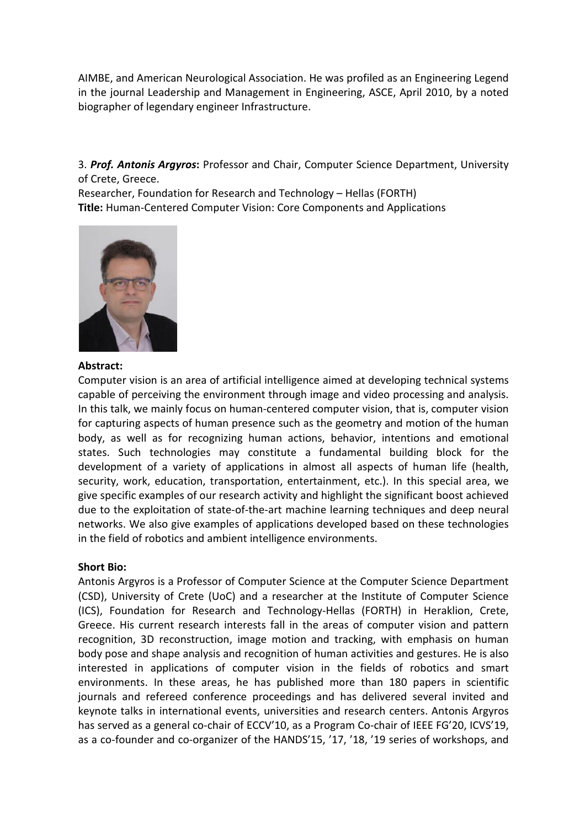AIMBE, and American Neurological Association. He was profiled as an Engineering Legend in the journal Leadership and Management in Engineering, ASCE, April 2010, by a noted biographer of legendary engineer Infrastructure.

3. *Prof. Antonis Argyros***:** Professor and Chair, Computer Science Department, University of Crete, Greece.

Researcher, Foundation for Research and Technology – Hellas (FORTH) **Title:** Human-Centered Computer Vision: Core Components and Applications



#### **Abstract:**

Computer vision is an area of artificial intelligence aimed at developing technical systems capable of perceiving the environment through image and video processing and analysis. In this talk, we mainly focus on human-centered computer vision, that is, computer vision for capturing aspects of human presence such as the geometry and motion of the human body, as well as for recognizing human actions, behavior, intentions and emotional states. Such technologies may constitute a fundamental building block for the development of a variety of applications in almost all aspects of human life (health, security, work, education, transportation, entertainment, etc.). In this special area, we give specific examples of our research activity and highlight the significant boost achieved due to the exploitation of state-of-the-art machine learning techniques and deep neural networks. We also give examples of applications developed based on these technologies in the field of robotics and ambient intelligence environments.

# **Short Bio:**

Antonis Argyros is a Professor of Computer Science at the Computer Science Department (CSD), University of Crete (UoC) and a researcher at the Institute of Computer Science (ICS), Foundation for Research and Technology-Hellas (FORTH) in Heraklion, Crete, Greece. His current research interests fall in the areas of computer vision and pattern recognition, 3D reconstruction, image motion and tracking, with emphasis on human body pose and shape analysis and recognition of human activities and gestures. He is also interested in applications of computer vision in the fields of robotics and smart environments. In these areas, he has published more than 180 papers in scientific journals and refereed conference proceedings and has delivered several invited and keynote talks in international events, universities and research centers. Antonis Argyros has served as a general co-chair of ECCV'10, as a Program Co-chair of IEEE FG'20, ICVS'19, as a co-founder and co-organizer of the HANDS'15, '17, '18, '19 series of workshops, and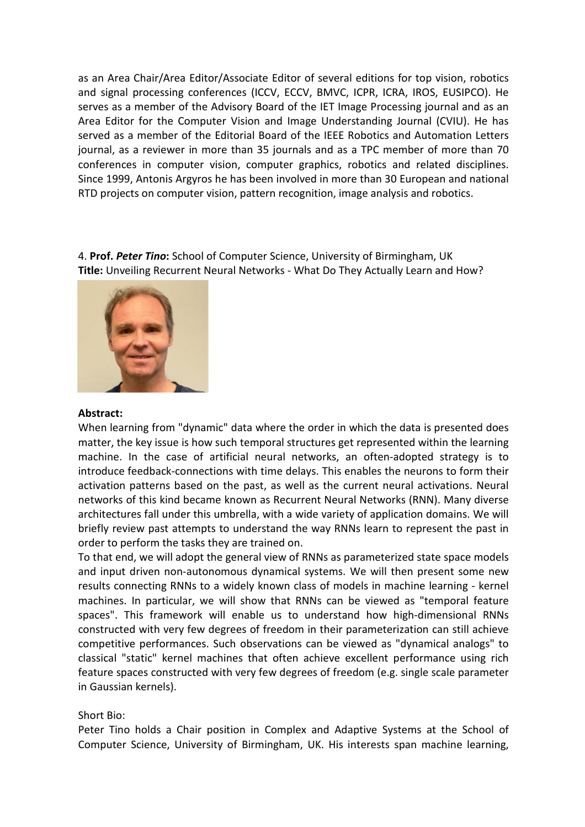as an Area Chair/Area Editor/Associate Editor of several editions for top vision, robotics and signal processing conferences (ICCV, ECCV, BMVC, ICPR, ICRA, IROS, EUSIPCO). He serves as a member of the Advisory Board of the IET Image Processing journal and as an Area Editor for the Computer Vision and Image Understanding Journal (CVIU). He has served as a member of the Editorial Board of the IEEE Robotics and Automation Letters journal, as a reviewer in more than 35 journals and as a TPC member of more than 70 conferences in computer vision, computer graphics, robotics and related disciplines. Since 1999, Antonis Argyros he has been involved in more than 30 European and national RTD projects on computer vision, pattern recognition, image analysis and robotics.

4. **Prof.** *Peter Tino***:** School of Computer Science, University of Birmingham, UK **Title:** Unveiling Recurrent Neural Networks - What Do They Actually Learn and How?



#### **Abstract:**

When learning from "dynamic" data where the order in which the data is presented does matter, the key issue is how such temporal structures get represented within the learning machine. In the case of artificial neural networks, an often-adopted strategy is to introduce feedback-connections with time delays. This enables the neurons to form their activation patterns based on the past, as well as the current neural activations. Neural networks of this kind became known as Recurrent Neural Networks (RNN). Many diverse architectures fall under this umbrella, with a wide variety of application domains. We will briefly review past attempts to understand the way RNNs learn to represent the past in order to perform the tasks they are trained on.

To that end, we will adopt the general view of RNNs as parameterized state space models and input driven non-autonomous dynamical systems. We will then present some new results connecting RNNs to a widely known class of models in machine learning - kernel machines. In particular, we will show that RNNs can be viewed as "temporal feature spaces". This framework will enable us to understand how high-dimensional RNNs constructed with very few degrees of freedom in their parameterization can still achieve competitive performances. Such observations can be viewed as "dynamical analogs" to classical "static" kernel machines that often achieve excellent performance using rich feature spaces constructed with very few degrees of freedom (e.g. single scale parameter in Gaussian kernels).

#### Short Bio:

Peter Tino holds a Chair position in Complex and Adaptive Systems at the School of Computer Science, University of Birmingham, UK. His interests span machine learning,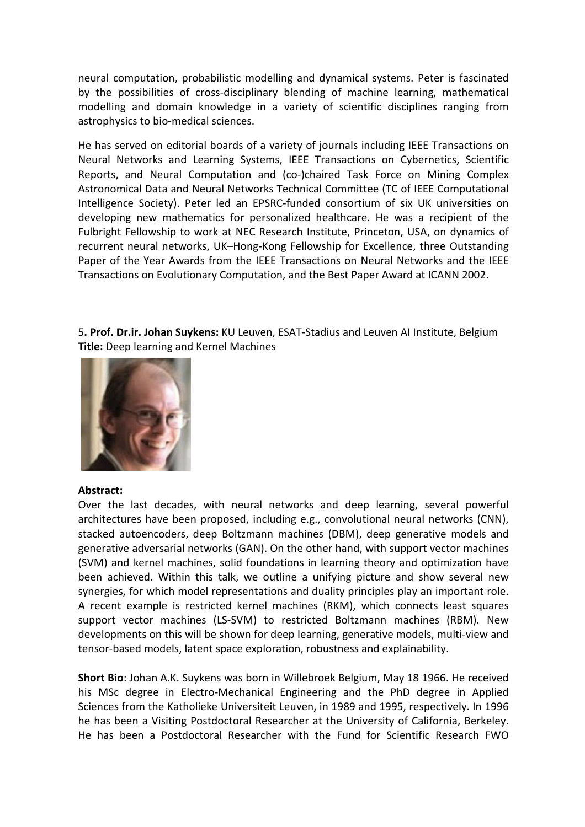neural computation, probabilistic modelling and dynamical systems. Peter is fascinated by the possibilities of cross-disciplinary blending of machine learning, mathematical modelling and domain knowledge in a variety of scientific disciplines ranging from astrophysics to bio-medical sciences.

He has served on editorial boards of a variety of journals including IEEE Transactions on Neural Networks and Learning Systems, IEEE Transactions on Cybernetics, Scientific Reports, and Neural Computation and (co-)chaired Task Force on Mining Complex Astronomical Data and Neural Networks Technical Committee (TC of IEEE Computational Intelligence Society). Peter led an EPSRC-funded consortium of six UK universities on developing new mathematics for personalized healthcare. He was a recipient of the Fulbright Fellowship to work at NEC Research Institute, Princeton, USA, on dynamics of recurrent neural networks, UK–Hong-Kong Fellowship for Excellence, three Outstanding Paper of the Year Awards from the IEEE Transactions on Neural Networks and the IEEE Transactions on Evolutionary Computation, and the Best Paper Award at ICANN 2002.

5**. Prof. Dr.ir. Johan Suykens:** KU Leuven, ESAT-Stadius and Leuven AI Institute, Belgium **Title:** Deep learning and Kernel Machines



# **Abstract:**

Over the last decades, with neural networks and deep learning, several powerful architectures have been proposed, including e.g., convolutional neural networks (CNN), stacked autoencoders, deep Boltzmann machines (DBM), deep generative models and generative adversarial networks (GAN). On the other hand, with support vector machines (SVM) and kernel machines, solid foundations in learning theory and optimization have been achieved. Within this talk, we outline a unifying picture and show several new synergies, for which model representations and duality principles play an important role. A recent example is restricted kernel machines (RKM), which connects least squares support vector machines (LS-SVM) to restricted Boltzmann machines (RBM). New developments on this will be shown for deep learning, generative models, multi-view and tensor-based models, latent space exploration, robustness and explainability.

**Short Bio**: Johan A.K. Suykens was born in Willebroek Belgium, May 18 1966. He received his MSc degree in Electro-Mechanical Engineering and the PhD degree in Applied Sciences from the Katholieke Universiteit Leuven, in 1989 and 1995, respectively. In 1996 he has been a Visiting Postdoctoral Researcher at the University of California, Berkeley. He has been a Postdoctoral Researcher with the Fund for Scientific Research FWO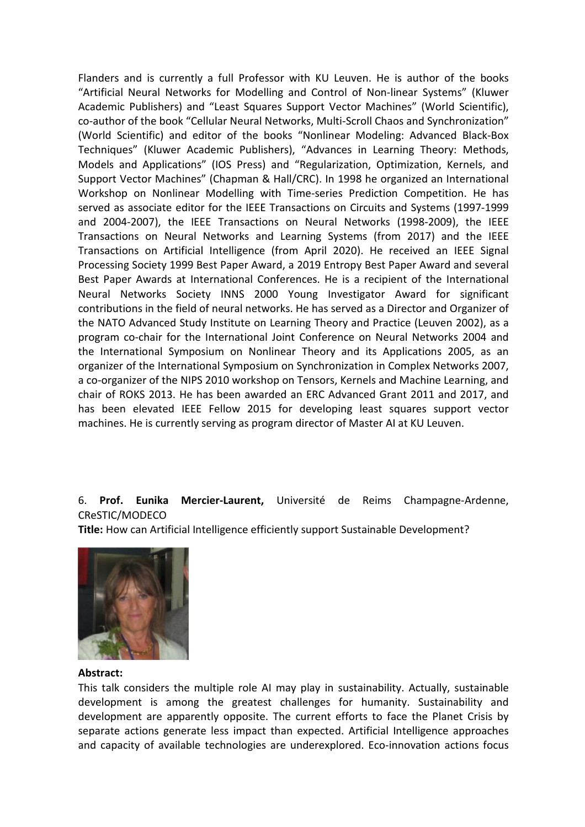Flanders and is currently a full Professor with KU Leuven. He is author of the books "Artificial Neural Networks for Modelling and Control of Non-linear Systems" (Kluwer Academic Publishers) and "Least Squares Support Vector Machines" (World Scientific), co-author of the book "Cellular Neural Networks, Multi-Scroll Chaos and Synchronization" (World Scientific) and editor of the books "Nonlinear Modeling: Advanced Black-Box Techniques" (Kluwer Academic Publishers), "Advances in Learning Theory: Methods, Models and Applications" (IOS Press) and "Regularization, Optimization, Kernels, and Support Vector Machines" (Chapman & Hall/CRC). In 1998 he organized an International Workshop on Nonlinear Modelling with Time-series Prediction Competition. He has served as associate editor for the IEEE Transactions on Circuits and Systems (1997-1999 and 2004-2007), the IEEE Transactions on Neural Networks (1998-2009), the IEEE Transactions on Neural Networks and Learning Systems (from 2017) and the IEEE Transactions on Artificial Intelligence (from April 2020). He received an IEEE Signal Processing Society 1999 Best Paper Award, a 2019 Entropy Best Paper Award and several Best Paper Awards at International Conferences. He is a recipient of the International Neural Networks Society INNS 2000 Young Investigator Award for significant contributions in the field of neural networks. He has served as a Director and Organizer of the NATO Advanced Study Institute on Learning Theory and Practice (Leuven 2002), as a program co-chair for the International Joint Conference on Neural Networks 2004 and the International Symposium on Nonlinear Theory and its Applications 2005, as an organizer of the International Symposium on Synchronization in Complex Networks 2007, a co-organizer of the NIPS 2010 workshop on Tensors, Kernels and Machine Learning, and chair of ROKS 2013. He has been awarded an ERC Advanced Grant 2011 and 2017, and has been elevated IEEE Fellow 2015 for developing least squares support vector machines. He is currently serving as program director of Master AI at KU Leuven.

6. **Prof. Eunika Mercier-Laurent,** Université de Reims Champagne-Ardenne, CReSTIC/MODECO

**Title:** How can Artificial Intelligence efficiently support Sustainable Development?



#### **Abstract:**

This talk considers the multiple role AI may play in sustainability. Actually, sustainable development is among the greatest challenges for humanity. Sustainability and development are apparently opposite. The current efforts to face the Planet Crisis by separate actions generate less impact than expected. Artificial Intelligence approaches and capacity of available technologies are underexplored. Eco-innovation actions focus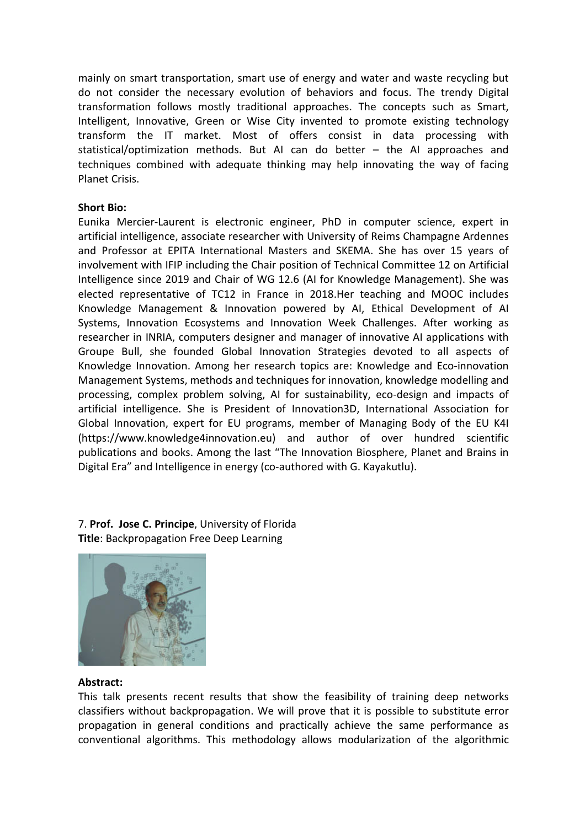mainly on smart transportation, smart use of energy and water and waste recycling but do not consider the necessary evolution of behaviors and focus. The trendy Digital transformation follows mostly traditional approaches. The concepts such as Smart, Intelligent, Innovative, Green or Wise City invented to promote existing technology transform the IT market. Most of offers consist in data processing with statistical/optimization methods. But AI can do better – the AI approaches and techniques combined with adequate thinking may help innovating the way of facing Planet Crisis.

# **Short Bio:**

Eunika Mercier-Laurent is electronic engineer, PhD in computer science, expert in artificial intelligence, associate researcher with University of Reims Champagne Ardennes and Professor at EPITA International Masters and SKEMA. She has over 15 years of involvement with IFIP including the Chair position of Technical Committee 12 on Artificial Intelligence since 2019 and Chair of WG 12.6 (AI for Knowledge Management). She was elected representative of TC12 in France in 2018.Her teaching and MOOC includes Knowledge Management & Innovation powered by AI, Ethical Development of AI Systems, Innovation Ecosystems and Innovation Week Challenges. After working as researcher in INRIA, computers designer and manager of innovative AI applications with Groupe Bull, she founded Global Innovation Strategies devoted to all aspects of Knowledge Innovation. Among her research topics are: Knowledge and Eco-innovation Management Systems, methods and techniques for innovation, knowledge modelling and processing, complex problem solving, AI for sustainability, eco-design and impacts of artificial intelligence. She is President of Innovation3D, International Association for Global Innovation, expert for EU programs, member of Managing Body of the EU K4I (https://www.knowledge4innovation.eu) and author of over hundred scientific publications and books. Among the last "The Innovation Biosphere, Planet and Brains in Digital Era" and Intelligence in energy (co-authored with G. Kayakutlu).

7. **Prof. Jose C. Principe**, University of Florida **Title**: Backpropagation Free Deep Learning



# **Abstract:**

This talk presents recent results that show the feasibility of training deep networks classifiers without backpropagation. We will prove that it is possible to substitute error propagation in general conditions and practically achieve the same performance as conventional algorithms. This methodology allows modularization of the algorithmic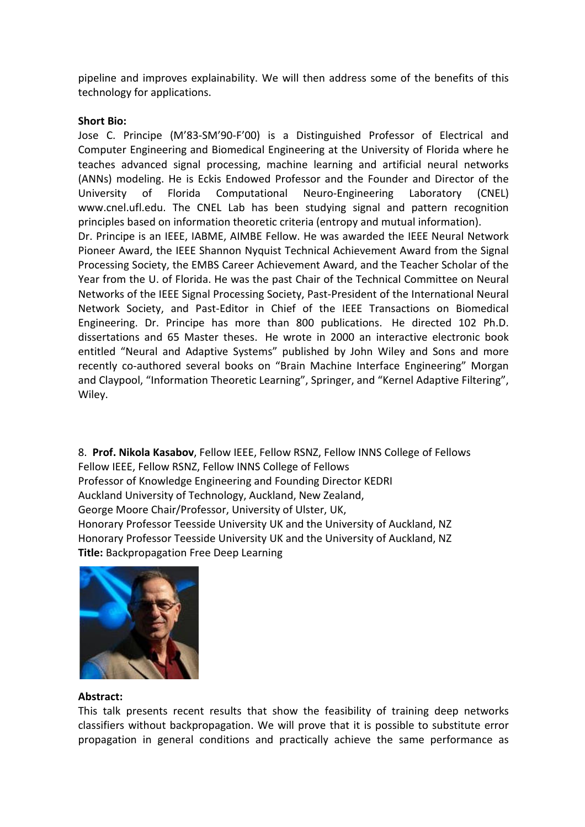pipeline and improves explainability. We will then address some of the benefits of this technology for applications.

# **Short Bio:**

Jose C. Principe (M'83-SM'90-F'00) is a Distinguished Professor of Electrical and Computer Engineering and Biomedical Engineering at the University of Florida where he teaches advanced signal processing, machine learning and artificial neural networks (ANNs) modeling. He is Eckis Endowed Professor and the Founder and Director of the University of Florida Computational Neuro-Engineering Laboratory (CNEL) www.cnel.ufl.edu. The CNEL Lab has been studying signal and pattern recognition principles based on information theoretic criteria (entropy and mutual information).

Dr. Principe is an IEEE, IABME, AIMBE Fellow. He was awarded the IEEE Neural Network Pioneer Award, the IEEE Shannon Nyquist Technical Achievement Award from the Signal Processing Society, the EMBS Career Achievement Award, and the Teacher Scholar of the Year from the U. of Florida. He was the past Chair of the Technical Committee on Neural Networks of the IEEE Signal Processing Society, Past-President of the International Neural Network Society, and Past-Editor in Chief of the IEEE Transactions on Biomedical Engineering. Dr. Principe has more than 800 publications. He directed 102 Ph.D. dissertations and 65 Master theses. He wrote in 2000 an interactive electronic book entitled "Neural and Adaptive Systems" published by John Wiley and Sons and more recently co-authored several books on "Brain Machine Interface Engineering" Morgan and Claypool, "Information Theoretic Learning", Springer, and "Kernel Adaptive Filtering", Wiley.

8. **Prof. Nikola Kasabov**, Fellow IEEE, Fellow RSNZ, Fellow INNS College of Fellows Fellow IEEE, Fellow RSNZ, Fellow INNS College of Fellows Professor of Knowledge Engineering and Founding Director KEDRI Auckland University of Technology, Auckland, New Zealand, George Moore Chair/Professor, University of Ulster, UK, Honorary Professor Teesside University UK and the University of Auckland, NZ Honorary Professor Teesside University UK and the University of Auckland, NZ **Title:** Backpropagation Free Deep Learning



# **Abstract:**

This talk presents recent results that show the feasibility of training deep networks classifiers without backpropagation. We will prove that it is possible to substitute error propagation in general conditions and practically achieve the same performance as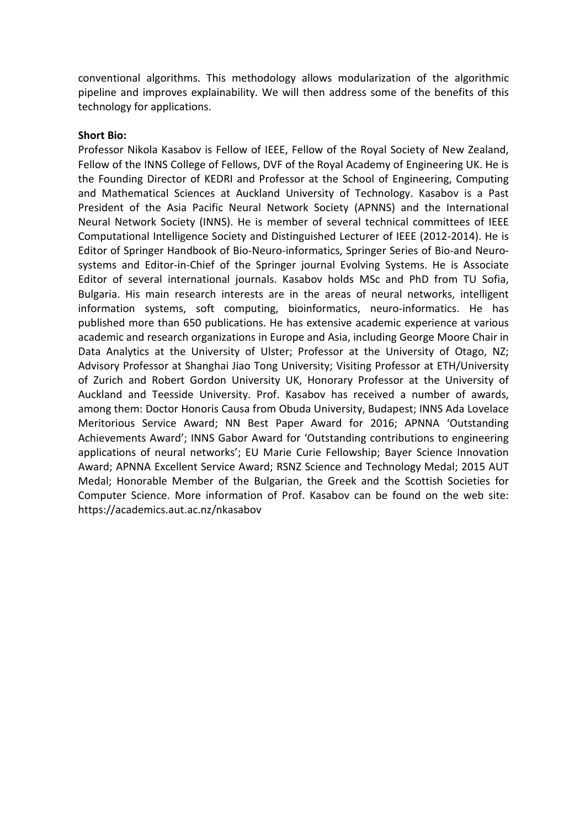conventional algorithms. This methodology allows modularization of the algorithmic pipeline and improves explainability. We will then address some of the benefits of this technology for applications.

# **Short Bio:**

Professor Nikola Kasabov is Fellow of IEEE, Fellow of the Royal Society of New Zealand, Fellow of the INNS College of Fellows, DVF of the Royal Academy of Engineering UK. He is the Founding Director of KEDRI and Professor at the School of Engineering, Computing and Mathematical Sciences at Auckland University of Technology. Kasabov is a Past President of the Asia Pacific Neural Network Society (APNNS) and the International Neural Network Society (INNS). He is member of several technical committees of IEEE Computational Intelligence Society and Distinguished Lecturer of IEEE (2012-2014). He is Editor of Springer Handbook of Bio-Neuro-informatics, Springer Series of Bio-and Neurosystems and Editor-in-Chief of the Springer journal Evolving Systems. He is Associate Editor of several international journals. Kasabov holds MSc and PhD from TU Sofia, Bulgaria. His main research interests are in the areas of neural networks, intelligent information systems, soft computing, bioinformatics, neuro-informatics. He has published more than 650 publications. He has extensive academic experience at various academic and research organizations in Europe and Asia, including George Moore Chair in Data Analytics at the University of Ulster; Professor at the University of Otago, NZ; Advisory Professor at Shanghai Jiao Tong University; Visiting Professor at ETH/University of Zurich and Robert Gordon University UK, Honorary Professor at the University of Auckland and Teesside University. Prof. Kasabov has received a number of awards, among them: Doctor Honoris Causa from Obuda University, Budapest; INNS Ada Lovelace Meritorious Service Award; NN Best Paper Award for 2016; APNNA 'Outstanding Achievements Award'; INNS Gabor Award for 'Outstanding contributions to engineering applications of neural networks'; EU Marie Curie Fellowship; Bayer Science Innovation Award; APNNA Excellent Service Award; RSNZ Science and Technology Medal; 2015 AUT Medal; Honorable Member of the Bulgarian, the Greek and the Scottish Societies for Computer Science. More information of Prof. Kasabov can be found on the web site: https://academics.aut.ac.nz/nkasabov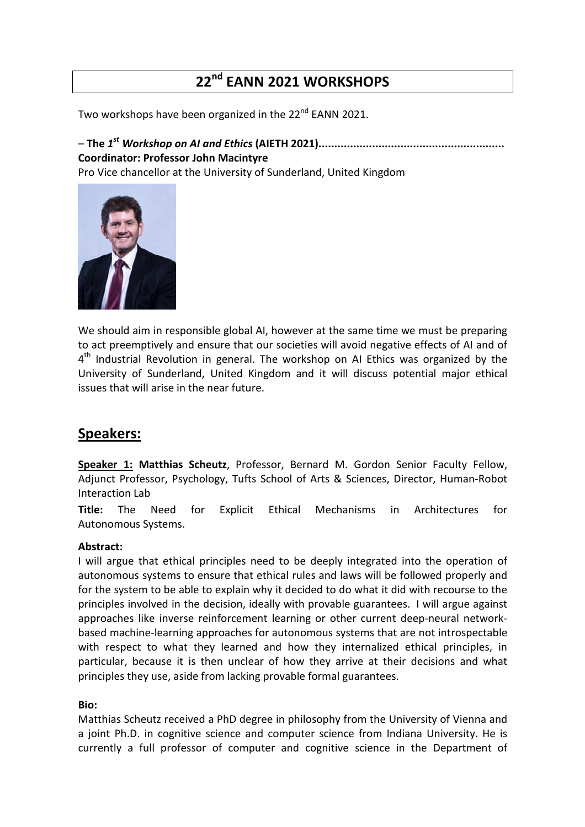# **22nd EANN 2021 WORKSHOPS**

Two workshops have been organized in the 22<sup>nd</sup> EANN 2021.

# – **The** *1 st Workshop on AI and Ethics* **(AIETH 2021)........................................................... Coordinator: Professor John Macintyre**

Pro Vice chancellor at the University of Sunderland, United Kingdom



We should aim in responsible global AI, however at the same time we must be preparing to act preemptively and ensure that our societies will avoid negative effects of AI and of 4<sup>th</sup> Industrial Revolution in general. The workshop on AI Ethics was organized by the University of Sunderland, United Kingdom and it will discuss potential major ethical issues that will arise in the near future.

# **Speakers:**

**Speaker 1: Matthias Scheutz**, Professor, Bernard M. Gordon Senior Faculty Fellow, Adjunct Professor, Psychology, Tufts School of Arts & Sciences, Director, Human-Robot Interaction Lab

**Title:** The Need for Explicit Ethical Mechanisms in Architectures for Autonomous Systems.

# **Abstract:**

I will argue that ethical principles need to be deeply integrated into the operation of autonomous systems to ensure that ethical rules and laws will be followed properly and for the system to be able to explain why it decided to do what it did with recourse to the principles involved in the decision, ideally with provable guarantees. I will argue against approaches like inverse reinforcement learning or other current deep-neural networkbased machine-learning approaches for autonomous systems that are not introspectable with respect to what they learned and how they internalized ethical principles, in particular, because it is then unclear of how they arrive at their decisions and what principles they use, aside from lacking provable formal guarantees.

# **Bio:**

Matthias Scheutz received a PhD degree in philosophy from the University of Vienna and a joint Ph.D. in cognitive science and computer science from Indiana University. He is currently a full professor of computer and cognitive science in the Department of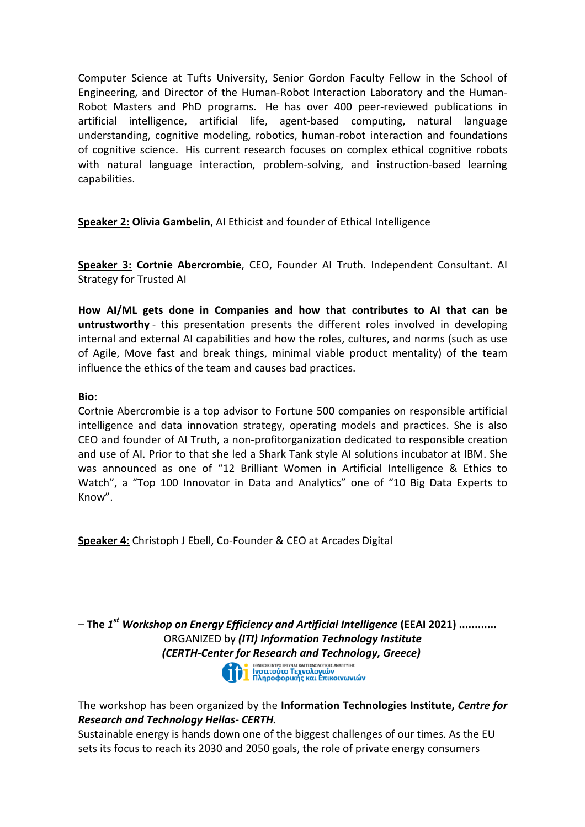Computer Science at Tufts University, Senior Gordon Faculty Fellow in the School of Engineering, and Director of the Human-Robot Interaction Laboratory and the Human-Robot Masters and PhD programs. He has over 400 peer-reviewed publications in artificial intelligence, artificial life, agent-based computing, natural language understanding, cognitive modeling, robotics, human-robot interaction and foundations of cognitive science. His current research focuses on complex ethical cognitive robots with natural language interaction, problem-solving, and instruction-based learning capabilities.

**Speaker 2: Olivia Gambelin**, AI Ethicist and founder of Ethical Intelligence

**Speaker 3: Cortnie Abercrombie**, CEO, Founder AI Truth. Independent Consultant. AI Strategy for Trusted AI

**How AI/ML gets done in Companies and how that contributes to AI that can be untrustworthy** - this presentation presents the different roles involved in developing internal and external AI capabilities and how the roles, cultures, and norms (such as use of Agile, Move fast and break things, minimal viable product mentality) of the team influence the ethics of the team and causes bad practices.

# **Bio:**

Cortnie Abercrombie is a top advisor to Fortune 500 companies on responsible artificial intelligence and data innovation strategy, operating models and practices. She is also CEO and founder of AI Truth, a non-profitorganization dedicated to responsible creation and use of AI. Prior to that she led a Shark Tank style AI solutions incubator at IBM. She was announced as one of "12 Brilliant Women in Artificial Intelligence & Ethics to Watch", a "Top 100 Innovator in Data and Analytics" one of "10 Big Data Experts to Know".

**Speaker 4:** Christoph J Ebell, Co-Founder & CEO at Arcades Digital

– **The** *1 st Workshop on Energy Efficiency and Artificial Intelligence* **(EEAI 2021) ............**  ORGANIZED by *(ITI) Information Technology Institute* 



The workshop has been organized by the **Information Technologies Institute,** *Centre for Research and Technology Hellas- CERTH.*

Sustainable energy is hands down one of the biggest challenges of our times. As the EU sets its focus to reach its 2030 and 2050 goals, the role of private energy consumers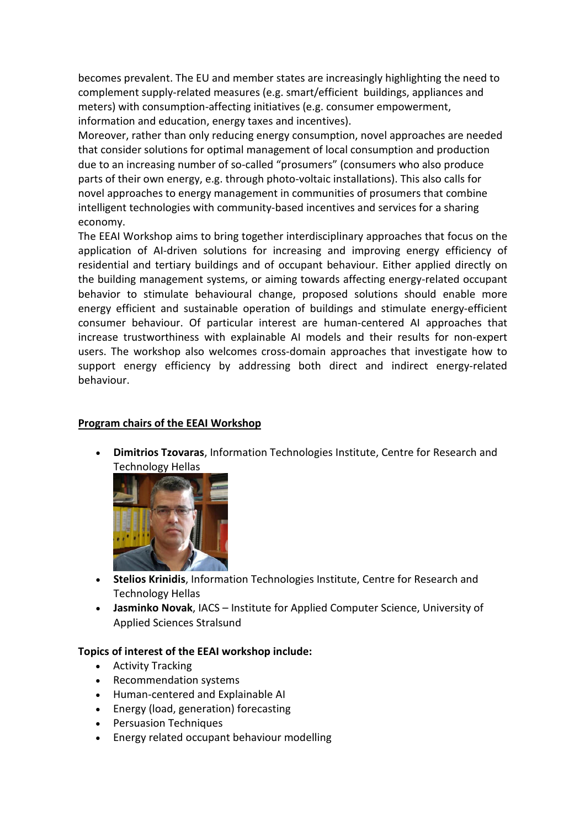becomes prevalent. The EU and member states are increasingly highlighting the need to complement supply-related measures (e.g. smart/efficient buildings, appliances and meters) with consumption-affecting initiatives (e.g. consumer empowerment, information and education, energy taxes and incentives).

Moreover, rather than only reducing energy consumption, novel approaches are needed that consider solutions for optimal management of local consumption and production due to an increasing number of so-called "prosumers" (consumers who also produce parts of their own energy, e.g. through photo-voltaic installations). This also calls for novel approaches to energy management in communities of prosumers that combine intelligent technologies with community-based incentives and services for a sharing economy.

The EEAI Workshop aims to bring together interdisciplinary approaches that focus on the application of AI-driven solutions for increasing and improving energy efficiency of residential and tertiary buildings and of occupant behaviour. Either applied directly on the building management systems, or aiming towards affecting energy-related occupant behavior to stimulate behavioural change, proposed solutions should enable more energy efficient and sustainable operation of buildings and stimulate energy-efficient consumer behaviour. Of particular interest are human-centered AI approaches that increase trustworthiness with explainable AI models and their results for non-expert users. The workshop also welcomes cross-domain approaches that investigate how to support energy efficiency by addressing both direct and indirect energy-related behaviour.

# **Program chairs of the EEAI Workshop**

• **Dimitrios Tzovaras**, Information Technologies Institute, Centre for Research and Technology Hellas



- **Stelios Krinidis**, Information Technologies Institute, Centre for Research and Technology Hellas
- **Jasminko Novak**, IACS Institute for Applied Computer Science, University of Applied Sciences Stralsund

# **Topics of interest of the EEAI workshop include:**

- Activity Tracking
- Recommendation systems
- Human-centered and Explainable AI
- Energy (load, generation) forecasting
- Persuasion Techniques
- Energy related occupant behaviour modelling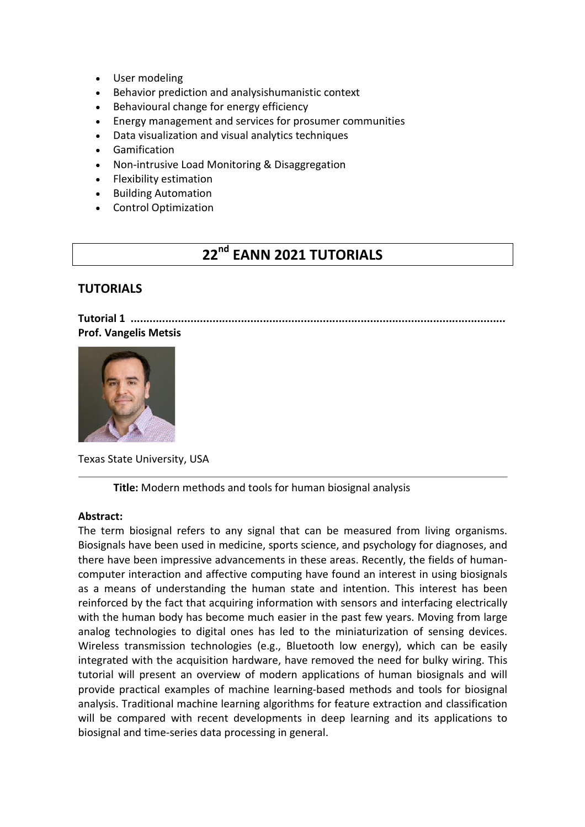- User modeling
- Behavior prediction and analysishumanistic context
- Behavioural change for energy efficiency
- Energy management and services for prosumer communities
- Data visualization and visual analytics techniques
- Gamification
- Non-intrusive Load Monitoring & Disaggregation
- Flexibility estimation
- Building Automation
- Control Optimization

# **22nd EANN 2021 TUTORIALS**

# **TUTORIALS**

**Tutorial 1 ....................................................................................................................... Prof. Vangelis Metsis** 



Texas State University, USA

**Title:** Modern methods and tools for human biosignal analysis

# **Abstract:**

The term biosignal refers to any signal that can be measured from living organisms. Biosignals have been used in medicine, sports science, and psychology for diagnoses, and there have been impressive advancements in these areas. Recently, the fields of humancomputer interaction and affective computing have found an interest in using biosignals as a means of understanding the human state and intention. This interest has been reinforced by the fact that acquiring information with sensors and interfacing electrically with the human body has become much easier in the past few years. Moving from large analog technologies to digital ones has led to the miniaturization of sensing devices. Wireless transmission technologies (e.g., Bluetooth low energy), which can be easily integrated with the acquisition hardware, have removed the need for bulky wiring. This tutorial will present an overview of modern applications of human biosignals and will provide practical examples of machine learning-based methods and tools for biosignal analysis. Traditional machine learning algorithms for feature extraction and classification will be compared with recent developments in deep learning and its applications to biosignal and time-series data processing in general.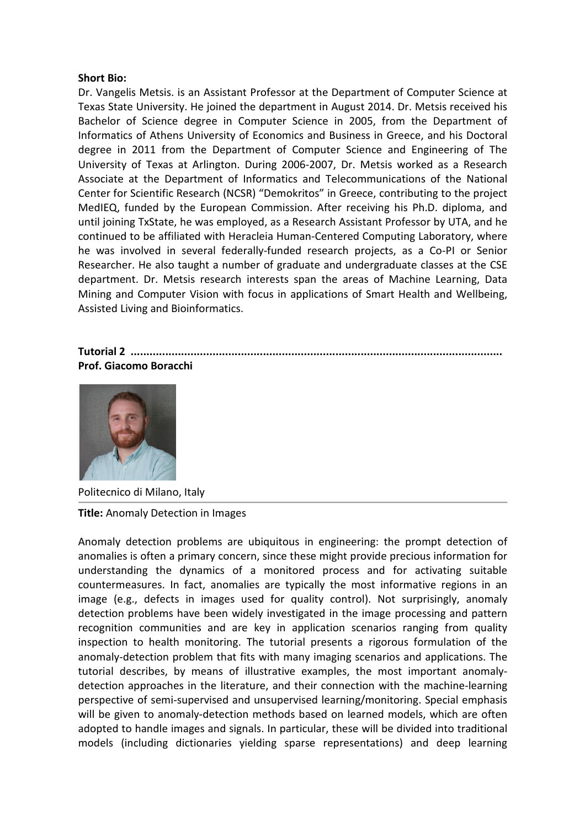#### **Short Bio:**

Dr. Vangelis Metsis. is an Assistant Professor at the Department of Computer Science at Texas State University. He joined the department in August 2014. Dr. Metsis received his Bachelor of Science degree in Computer Science in 2005, from the Department of Informatics of Athens University of Economics and Business in Greece, and his Doctoral degree in 2011 from the Department of Computer Science and Engineering of The University of Texas at Arlington. During 2006-2007, Dr. Metsis worked as a Research Associate at the Department of Informatics and Telecommunications of the National Center for Scientific Research (NCSR) "Demokritos" in Greece, contributing to the project MedIEQ, funded by the European Commission. After receiving his Ph.D. diploma, and until joining TxState, he was employed, as a Research Assistant Professor by UTA, and he continued to be affiliated with Heracleia Human-Centered Computing Laboratory, where he was involved in several federally-funded research projects, as a Co-PI or Senior Researcher. He also taught a number of graduate and undergraduate classes at the CSE department. Dr. Metsis research interests span the areas of Machine Learning, Data Mining and Computer Vision with focus in applications of Smart Health and Wellbeing, Assisted Living and Bioinformatics.

**Tutorial 2 ...................................................................................................................... Prof. Giacomo Boracchi** 



Politecnico di Milano, Italy

**Title:** Anomaly Detection in Images

Anomaly detection problems are ubiquitous in engineering: the prompt detection of anomalies is often a primary concern, since these might provide precious information for understanding the dynamics of a monitored process and for activating suitable countermeasures. In fact, anomalies are typically the most informative regions in an image (e.g., defects in images used for quality control). Not surprisingly, anomaly detection problems have been widely investigated in the image processing and pattern recognition communities and are key in application scenarios ranging from quality inspection to health monitoring. The tutorial presents a rigorous formulation of the anomaly-detection problem that fits with many imaging scenarios and applications. The tutorial describes, by means of illustrative examples, the most important anomalydetection approaches in the literature, and their connection with the machine-learning perspective of semi-supervised and unsupervised learning/monitoring. Special emphasis will be given to anomaly-detection methods based on learned models, which are often adopted to handle images and signals. In particular, these will be divided into traditional models (including dictionaries yielding sparse representations) and deep learning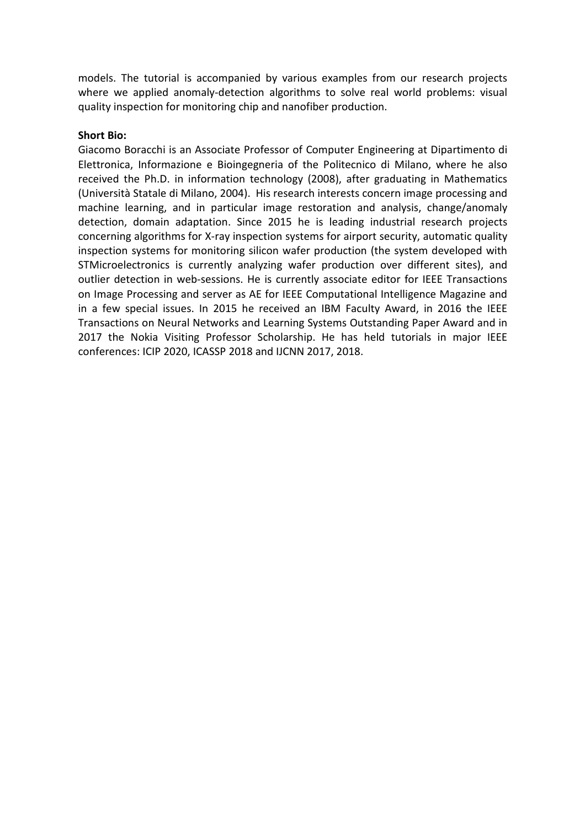models. The tutorial is accompanied by various examples from our research projects where we applied anomaly-detection algorithms to solve real world problems: visual quality inspection for monitoring chip and nanofiber production.

### **Short Bio:**

Giacomo Boracchi is an Associate Professor of Computer Engineering at Dipartimento di Elettronica, Informazione e Bioingegneria of the Politecnico di Milano, where he also received the Ph.D. in information technology (2008), after graduating in Mathematics (Università Statale di Milano, 2004). His research interests concern image processing and machine learning, and in particular image restoration and analysis, change/anomaly detection, domain adaptation. Since 2015 he is leading industrial research projects concerning algorithms for X-ray inspection systems for airport security, automatic quality inspection systems for monitoring silicon wafer production (the system developed with STMicroelectronics is currently analyzing wafer production over different sites), and outlier detection in web-sessions. He is currently associate editor for IEEE Transactions on Image Processing and server as AE for IEEE Computational Intelligence Magazine and in a few special issues. In 2015 he received an IBM Faculty Award, in 2016 the IEEE Transactions on Neural Networks and Learning Systems Outstanding Paper Award and in 2017 the Nokia Visiting Professor Scholarship. He has held tutorials in major IEEE conferences: ICIP 2020, ICASSP 2018 and IJCNN 2017, 2018.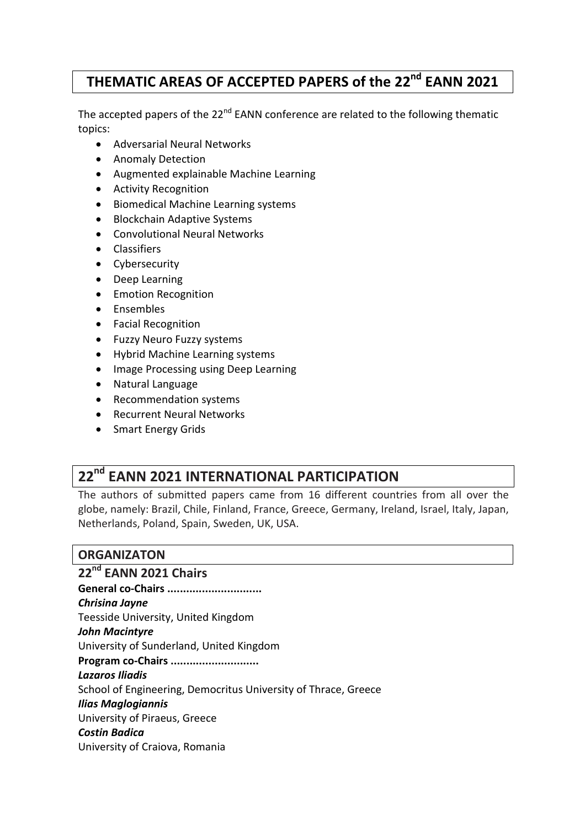# **THEMATIC AREAS OF ACCEPTED PAPERS of the 22nd EANN 2021**

The accepted papers of the  $22^{nd}$  EANN conference are related to the following thematic topics:

- Adversarial Neural Networks
- Anomaly Detection
- Augmented explainable Machine Learning
- Activity Recognition
- Biomedical Machine Learning systems
- Blockchain Adaptive Systems
- Convolutional Neural Networks
- Classifiers
- Cybersecurity
- Deep Learning
- Emotion Recognition
- Ensembles
- Facial Recognition
- Fuzzy Neuro Fuzzy systems
- Hybrid Machine Learning systems
- Image Processing using Deep Learning
- Natural Language
- Recommendation systems
- Recurrent Neural Networks
- Smart Energy Grids

# **22nd EANN 2021 INTERNATIONAL PARTICIPATION**

The authors of submitted papers came from 16 different countries from all over the globe, namely: Brazil, Chile, Finland, France, Greece, Germany, Ireland, Israel, Italy, Japan, Netherlands, Poland, Spain, Sweden, UK, USA.

# **ORGANIZATON**

# **22nd EANN 2021 Chairs**

**General co-Chairs ..............................**  *Chrisina Jayne* Teesside University, United Kingdom *John Macintyre* University of Sunderland, United Kingdom **Program co-Chairs ............................**  *Lazaros Iliadis* School of Engineering, Democritus University of Thrace, Greece *Ilias Maglogiannis* University of Piraeus, Greece *Costin Badica* University of Craiova, Romania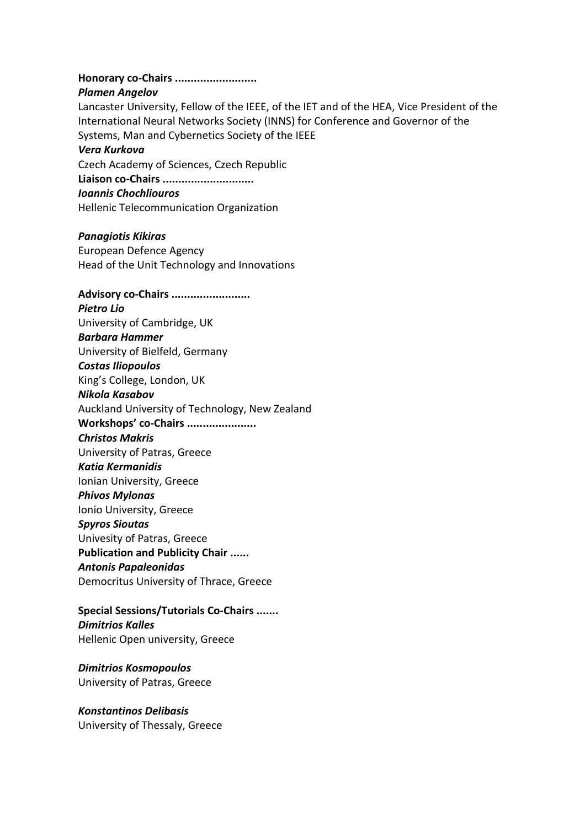#### **Honorary co-Chairs ..........................**

#### *Plamen Angelov*

Lancaster University, Fellow of the IEEE, of the IET and of the HEA, Vice President of the International Neural Networks Society (INNS) for Conference and Governor of the Systems, Man and Cybernetics Society of the IEEE

#### *Vera Kurkova*

Czech Academy of Sciences, Czech Republic **Liaison co-Chairs .............................**  *Ioannis Chochliouros* Hellenic Telecommunication Organization

# *Panagiotis Kikiras*

European Defence Agency Head of the Unit Technology and Innovations

**Advisory co-Chairs .........................**  *Pietro Lio* University of Cambridge, UK *Barbara Hammer* University of Bielfeld, Germany *Costas Iliopoulos*  King's College, London, UK *Nikola Kasabov* Auckland University of Technology, New Zealand **Workshops' co-Chairs ......................**  *Christos Makris* University of Patras, Greece *Katia Kermanidis* Ionian University, Greece *Phivos Mylonas* Ionio University, Greece *Spyros Sioutas* Univesity of Patras, Greece **Publication and Publicity Chair ......**  *Antonis Papaleonidas* Democritus University of Thrace, Greece

# **Special Sessions/Tutorials Co-Chairs .......**  *Dimitrios Kalles*  Hellenic Open university, Greece

*Dimitrios Kosmopoulos*  University of Patras, Greece

*Konstantinos Delibasis*  University of Thessaly, Greece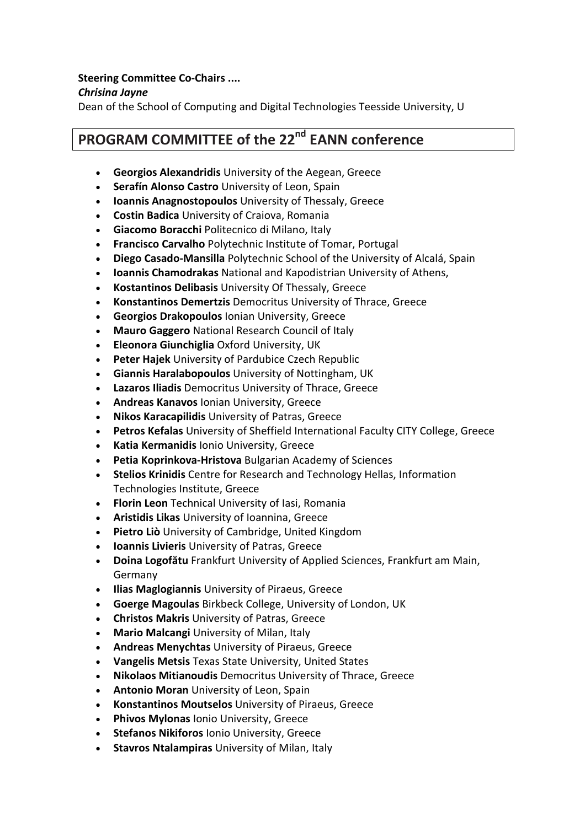# **Steering Committee Co-Chairs ....**

# *Chrisina Jayne*

Dean of the School of Computing and Digital Technologies Teesside University, U

# **PROGRAM COMMITTEE of the 22nd EANN conference**

- **Georgios Alexandridis** University of the Aegean, Greece
- **Serafín Alonso Castro** University of Leon, Spain
- **Ioannis Anagnostopoulos** University of Thessaly, Greece
- **Costin Badica** University of Craiova, Romania
- **Giacomo Boracchi** Politecnico di Milano, Italy
- **Francisco Carvalho** Polytechnic Institute of Tomar, Portugal
- **Diego Casado-Mansilla** Polytechnic School of the University of Alcalá, Spain
- **Ioannis Chamodrakas** National and Kapodistrian University of Athens,
- **Kostantinos Delibasis** University Of Thessaly, Greece
- **Konstantinos Demertzis** Democritus University of Thrace, Greece
- **Georgios Drakopoulos** Ionian University, Greece
- **Mauro Gaggero** National Research Council of Italy
- **Eleonora Giunchiglia** Oxford University, UK
- **Peter Hajek** University of Pardubice Czech Republic
- **Giannis Haralabopoulos** University of Nottingham, UK
- **Lazaros Iliadis** Democritus University of Thrace, Greece
- **Andreas Kanavos** Ionian University, Greece
- **Nikos Karacapilidis** University of Patras, Greece
- **Petros Kefalas** University of Sheffield International Faculty CITY College, Greece
- **Katia Kermanidis** Ionio University, Greece
- **Petia Koprinkova-Hristova** Bulgarian Academy of Sciences
- **Stelios Krinidis** Centre for Research and Technology Hellas, Information Technologies Institute, Greece
- **Florin Leon** Technical University of Iasi, Romania
- **Aristidis Likas** University of Ioannina, Greece
- **Pietro Liò** University of Cambridge, United Kingdom
- **Ioannis Livieris** University of Patras, Greece
- **Doina Logofătu** Frankfurt University of Applied Sciences, Frankfurt am Main, Germany
- **Ilias Maglogiannis** University of Piraeus, Greece
- **Goerge Magoulas** Birkbeck College, University of London, UK
- **Christos Makris** University of Patras, Greece
- **Mario Malcangi** University of Milan, Italy
- **Andreas Menychtas** University of Piraeus, Greece
- **Vangelis Metsis** Texas State University, United States
- **Nikolaos Mitianoudis** Democritus University of Thrace, Greece
- **Antonio Moran** University of Leon, Spain
- **Konstantinos Moutselos** University of Piraeus, Greece
- **Phivos Mylonas** Ionio University, Greece
- **Stefanos Nikiforos** Ionio University, Greece
- **Stavros Ntalampiras** University of Milan, Italy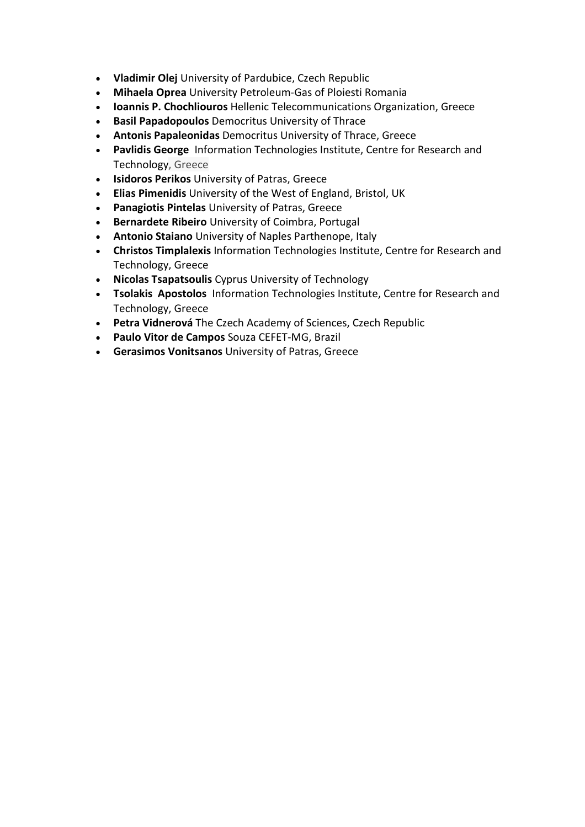- **Vladimir Olej** University of Pardubice, Czech Republic
- **Mihaela Oprea** University Petroleum-Gas of Ploiesti Romania
- **Ioannis P. Chochliouros** Hellenic Telecommunications Organization, Greece
- **Basil Papadopoulos** Democritus University of Thrace
- **Antonis Papaleonidas** Democritus University of Thrace, Greece
- **Pavlidis George** Information Technologies Institute, Centre for Research and Technology, Greece
- **Isidoros Perikos** University of Patras, Greece
- **Elias Pimenidis** University of the West of England, Bristol, UK
- **Panagiotis Pintelas** University of Patras, Greece
- **Bernardete Ribeiro** University of Coimbra, Portugal
- **Antonio Staiano** University of Naples Parthenope, Italy
- **Christos Timplalexis** Information Technologies Institute, Centre for Research and Technology, Greece
- **Nicolas Tsapatsoulis** Cyprus University of Technology
- **Tsolakis Apostolos** Information Technologies Institute, Centre for Research and Technology, Greece
- **Petra Vidnerová** The Czech Academy of Sciences, Czech Republic
- **Paulo Vitor de Campos** Souza CEFET-MG, Brazil
- **Gerasimos Vonitsanos** University of Patras, Greece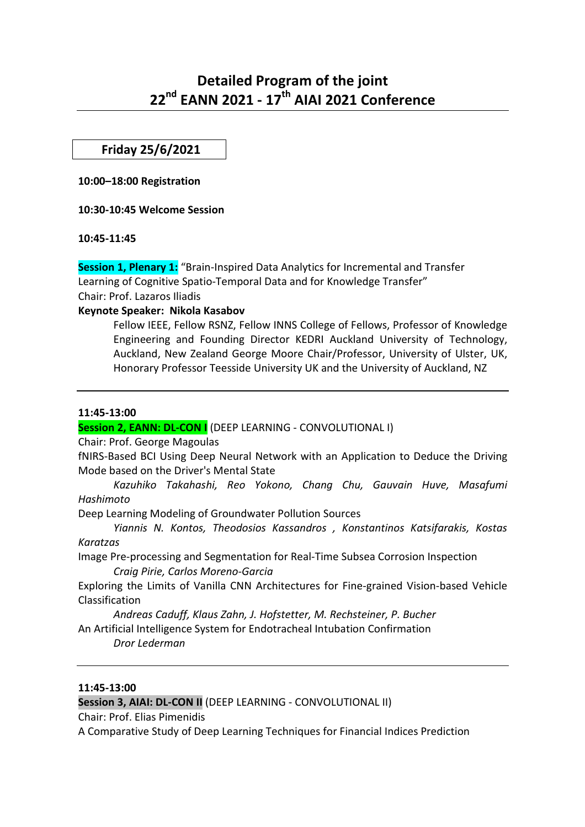# **Detailed Program of the joint 22nd EANN 2021 - 17th AIAI 2021 Conference**

**Friday 25/6/2021** 

# **10:00–18:00 Registration**

# **10:30-10:45 Welcome Session**

# **10:45-11:45**

**Session 1, Plenary 1:** "Brain-Inspired Data Analytics for Incremental and Transfer Learning of Cognitive Spatio-Temporal Data and for Knowledge Transfer" Chair: Prof. Lazaros Iliadis

# **Keynote Speaker: Nikola Kasabov**

Fellow IEEE, Fellow RSNZ, Fellow INNS College of Fellows, Professor of Knowledge Engineering and Founding Director KEDRI Auckland University of Technology, Auckland, New Zealand George Moore Chair/Professor, University of Ulster, UK, Honorary Professor Teesside University UK and the University of Auckland, NZ

# **11:45-13:00**

**Session 2, EANN: DL-CON I** (DEEP LEARNING - CONVOLUTIONAL I)

Chair: Prof. George Magoulas

fNIRS-Based BCI Using Deep Neural Network with an Application to Deduce the Driving Mode based on the Driver's Mental State

 *Kazuhiko Takahashi, Reo Yokono, Chang Chu, Gauvain Huve, Masafumi Hashimoto* 

Deep Learning Modeling of Groundwater Pollution Sources

 *Yiannis N. Kontos, Theodosios Kassandros , Konstantinos Katsifarakis, Kostas Karatzas* 

Image Pre-processing and Segmentation for Real-Time Subsea Corrosion Inspection  *Craig Pirie, Carlos Moreno-Garcia* 

Exploring the Limits of Vanilla CNN Architectures for Fine-grained Vision-based Vehicle Classification

 *Andreas Caduff, Klaus Zahn, J. Hofstetter, M. Rechsteiner, P. Bucher*  An Artificial Intelligence System for Endotracheal Intubation Confirmation  *Dror Lederman* 

# **11:45-13:00**

**Session 3, AIAI: DL-CON II** (DEEP LEARNING - CONVOLUTIONAL II)

Chair: Prof. Elias Pimenidis

A Comparative Study of Deep Learning Techniques for Financial Indices Prediction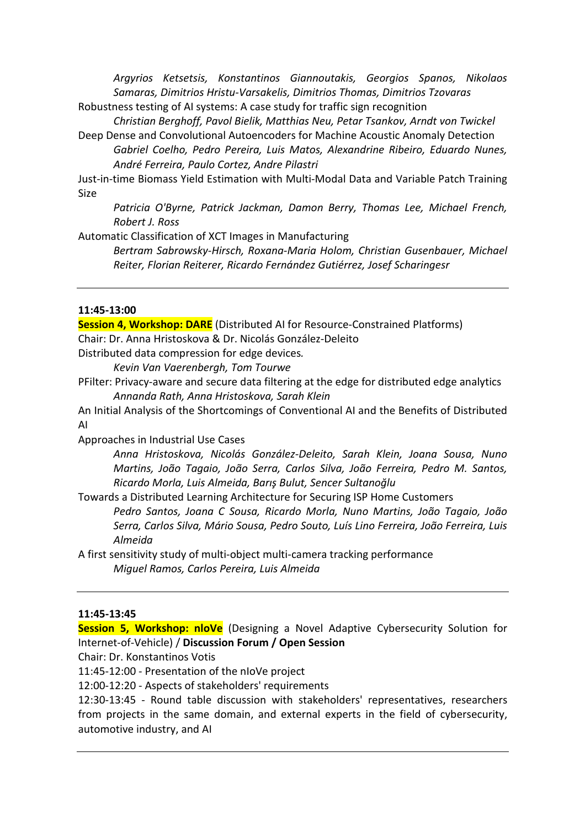*Argyrios Ketsetsis, Konstantinos Giannoutakis, Georgios Spanos, Nikolaos Samaras, Dimitrios Hristu-Varsakelis, Dimitrios Thomas, Dimitrios Tzovaras*  Robustness testing of AI systems: A case study for traffic sign recognition

 *Christian Berghoff, Pavol Bielik, Matthias Neu, Petar Tsankov, Arndt von Twickel*  Deep Dense and Convolutional Autoencoders for Machine Acoustic Anomaly Detection *Gabriel Coelho, Pedro Pereira, Luis Matos, Alexandrine Ribeiro, Eduardo Nunes,* 

*André Ferreira, Paulo Cortez, Andre Pilastri*

Just-in-time Biomass Yield Estimation with Multi-Modal Data and Variable Patch Training Size

*Patricia O'Byrne, Patrick Jackman, Damon Berry, Thomas Lee, Michael French, Robert J. Ross* 

Automatic Classification of XCT Images in Manufacturing

*Bertram Sabrowsky-Hirsch, Roxana-Maria Holom, Christian Gusenbauer, Michael Reiter, Florian Reiterer, Ricardo Fernández Gutiérrez, Josef Scharingesr* 

#### **11:45-13:00**

**Session 4, Workshop: DARE** (Distributed AI for Resource-Constrained Platforms) Chair: Dr. Anna Hristoskova & Dr. Nicolás González-Deleito

Distributed data compression for edge devices*.*

 *Kevin Van Vaerenbergh, Tom Tourwe* 

PFilter: Privacy-aware and secure data filtering at the edge for distributed edge analytics  *Annanda Rath, Anna Hristoskova, Sarah Klein* 

An Initial Analysis of the Shortcomings of Conventional AI and the Benefits of Distributed AI

Approaches in Industrial Use Cases

*Anna Hristoskova, Nicolás González-Deleito, Sarah Klein, Joana Sousa, Nuno Martins, João Tagaio, João Serra, Carlos Silva, João Ferreira, Pedro M. Santos, Ricardo Morla, Luis Almeida, Barış Bulut, Sencer Sultanoğlu* 

Towards a Distributed Learning Architecture for Securing ISP Home Customers

*Pedro Santos, Joana C Sousa, Ricardo Morla, Nuno Martins, João Tagaio, João Serra, Carlos Silva, Mário Sousa, Pedro Souto, Luís Lino Ferreira, João Ferreira, Luis Almeida* 

A first sensitivity study of multi-object multi-camera tracking performance  *Miguel Ramos, Carlos Pereira, Luis Almeida* 

#### **11:45-13:45**

**Session 5, Workshop: nloVe** (Designing a Novel Adaptive Cybersecurity Solution for Internet-of-Vehicle) / **Discussion Forum / Open Session** 

Chair: Dr. Konstantinos Votis

11:45-12:00 - Presentation of the nIoVe project

12:00-12:20 - Aspects of stakeholders' requirements

12:30-13:45 - Round table discussion with stakeholders' representatives, researchers from projects in the same domain, and external experts in the field of cybersecurity, automotive industry, and AI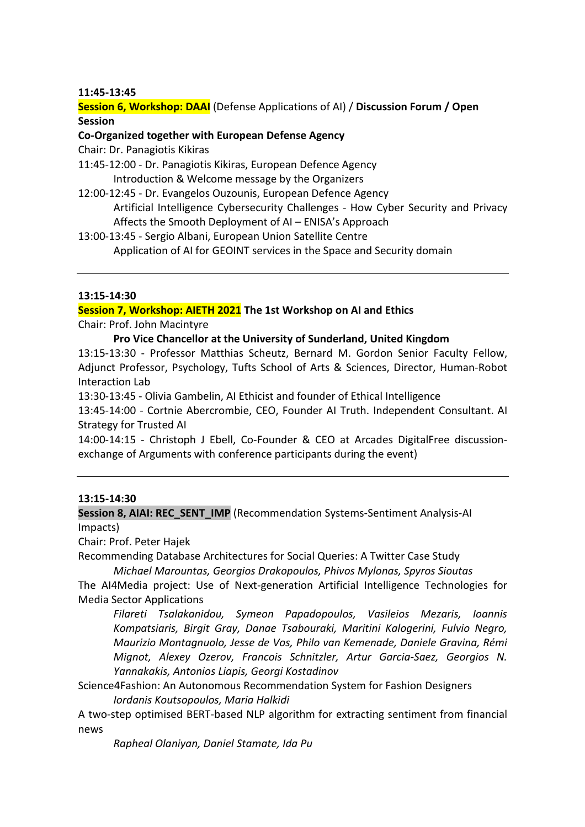#### **11:45-13:45**

# **Session 6, Workshop: DAAI** (Defense Applications of AI) / **Discussion Forum / Open Session**

### **Co-Organized together with European Defense Agency**

Chair: Dr. Panagiotis Kikiras

- 11:45-12:00 Dr. Panagiotis Kikiras, European Defence Agency Introduction & Welcome message by the Organizers
- 12:00-12:45 Dr. Evangelos Ouzounis, European Defence Agency Artificial Intelligence Cybersecurity Challenges - How Cyber Security and Privacy Affects the Smooth Deployment of AI – ENISA's Approach
- 13:00-13:45 Sergio Albani, European Union Satellite Centre Application of AI for GEOINT services in the Space and Security domain

#### **13:15-14:30**

**Session 7, Workshop: AIETH 2021 The 1st Workshop on AI and Ethics** 

Chair: Prof. John Macintyre

#### **Pro Vice Chancellor at the University of Sunderland, United Kingdom**

13:15-13:30 - Professor Matthias Scheutz, Bernard M. Gordon Senior Faculty Fellow, Adjunct Professor, Psychology, Tufts School of Arts & Sciences, Director, Human-Robot Interaction Lab

13:30-13:45 - Olivia Gambelin, AI Ethicist and founder of Ethical Intelligence

13:45-14:00 - Cortnie Abercrombie, CEO, Founder AI Truth. Independent Consultant. AI Strategy for Trusted AI

14:00-14:15 - Christoph J Ebell, Co-Founder & CEO at Arcades DigitalFree discussionexchange of Arguments with conference participants during the event)

# **13:15-14:30**

**Session 8, AIAI: REC\_SENT\_IMP** (Recommendation Systems-Sentiment Analysis-AI Impacts)

Chair: Prof. Peter Hajek

Recommending Database Architectures for Social Queries: A Twitter Case Study

 *Michael Marountas, Georgios Drakopoulos, Phivos Mylonas, Spyros Sioutas*  The AI4Media project: Use of Next-generation Artificial Intelligence Technologies for Media Sector Applications

*Filareti Tsalakanidou, Symeon Papadopoulos, Vasileios Mezaris, Ioannis Kompatsiaris, Birgit Gray, Danae Tsabouraki, Maritini Kalogerini, Fulvio Negro, Maurizio Montagnuolo, Jesse de Vos, Philo van Kemenade, Daniele Gravina, Rémi Mignot, Alexey Ozerov, Francois Schnitzler, Artur Garcia-Saez, Georgios N. Yannakakis, Antonios Liapis, Georgi Kostadinov* 

Science4Fashion: An Autonomous Recommendation System for Fashion Designers  *Iordanis Koutsopoulos, Maria Halkidi* 

A two-step optimised BERT-based NLP algorithm for extracting sentiment from financial news

 *Rapheal Olaniyan, Daniel Stamate, Ida Pu*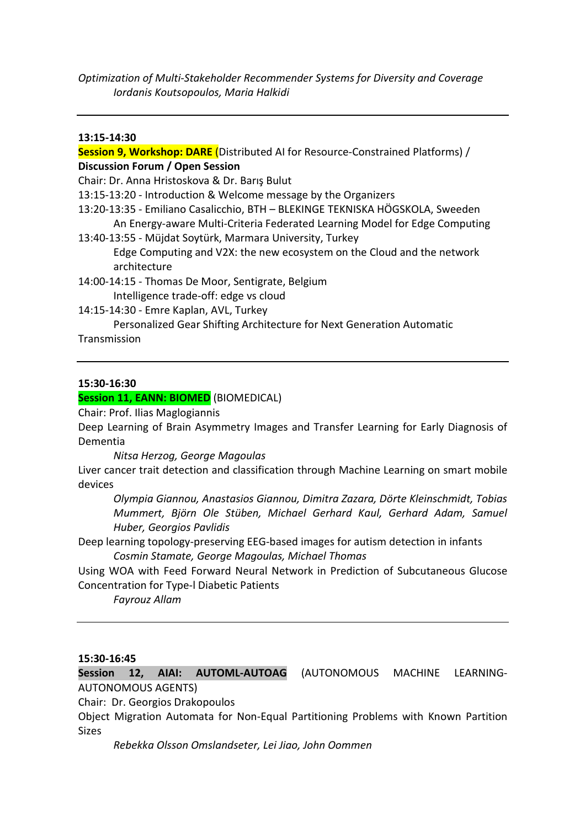*Optimization of Multi-Stakeholder Recommender Systems for Diversity and Coverage Iordanis Koutsopoulos, Maria Halkidi* 

#### **13:15-14:30**

**Session 9, Workshop: DARE** (Distributed AI for Resource-Constrained Platforms) / **Discussion Forum / Open Session**

Chair: Dr. Anna Hristoskova & Dr. Barış Bulut

13:15-13:20 - Introduction & Welcome message by the Organizers

13:20-13:35 - Emiliano Casalicchio, BTH – BLEKINGE TEKNISKA HÖGSKOLA, Sweeden An Energy-aware Multi-Criteria Federated Learning Model for Edge Computing

13:40-13:55 - Müjdat Soytürk, Marmara University, Turkey Edge Computing and V2X: the new ecosystem on the Cloud and the network architecture

14:00-14:15 - Thomas De Moor, Sentigrate, Belgium Intelligence trade-off: edge vs cloud

14:15-14:30 - Emre Kaplan, AVL, Turkey

Personalized Gear Shifting Architecture for Next Generation Automatic

Transmission

# **15:30-16:30**

**Session 11, EANN: BIOMED** (BIOMEDICAL)

Chair: Prof. Ilias Maglogiannis

Deep Learning of Brain Asymmetry Images and Transfer Learning for Early Diagnosis of Dementia

 *Nitsa Herzog, George Magoulas* 

Liver cancer trait detection and classification through Machine Learning on smart mobile devices

*Olympia Giannou, Anastasios Giannou, Dimitra Zazara, Dörte Kleinschmidt, Tobias Mummert, Björn Ole Stüben, Michael Gerhard Kaul, Gerhard Adam, Samuel Huber, Georgios Pavlidis* 

Deep learning topology-preserving EEG-based images for autism detection in infants  *Cosmin Stamate, George Magoulas, Michael Thomas* 

Using WOA with Feed Forward Neural Network in Prediction of Subcutaneous Glucose Concentration for Type-l Diabetic Patients

 *Fayrouz Allam* 

#### **15:30-16:45**

**Session 12, AIAI: AUTOML-AUTOAG** (AUTONOMOUS MACHINE LEARNING-AUTONOMOUS AGENTS)

Chair: Dr. Georgios Drakopoulos

Object Migration Automata for Non-Equal Partitioning Problems with Known Partition **Sizes** 

*Rebekka Olsson Omslandseter, Lei Jiao, John Oommen*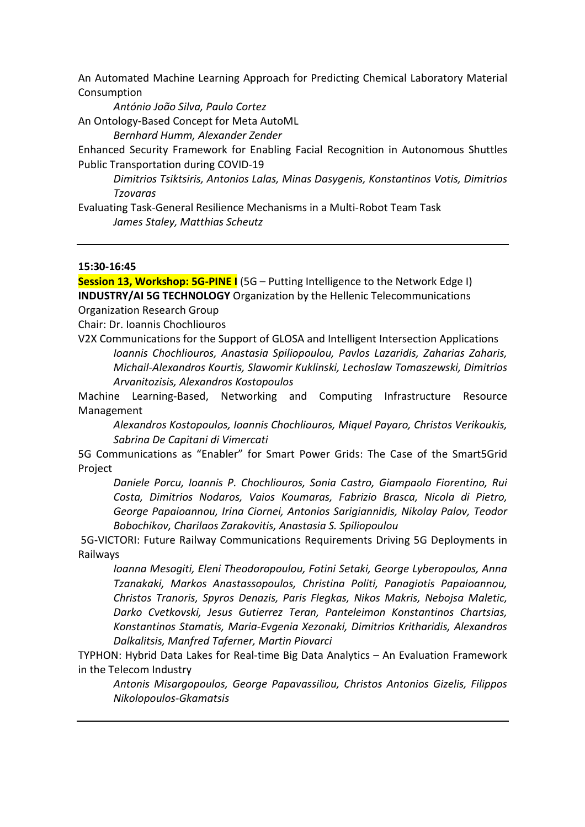An Automated Machine Learning Approach for Predicting Chemical Laboratory Material Consumption

 *António João Silva, Paulo Cortez* 

An Ontology-Based Concept for Meta AutoML

 *Bernhard Humm, Alexander Zender* 

Enhanced Security Framework for Enabling Facial Recognition in Autonomous Shuttles Public Transportation during COVID-19

*Dimitrios Tsiktsiris, Antonios Lalas, Minas Dasygenis, Konstantinos Votis, Dimitrios Tzovaras* 

Evaluating Task-General Resilience Mechanisms in a Multi-Robot Team Task *James Staley, Matthias Scheutz* 

#### **15:30-16:45**

**Session 13, Workshop: 5G-PINE I** (5G – Putting Intelligence to the Network Edge I) **INDUSTRY/AI 5G TECHNOLOGY** Organization by the Hellenic Telecommunications Organization Research Group

Chair: Dr. Ioannis Chochliouros

V2X Communications for the Support of GLOSA and Intelligent Intersection Applications *Ioannis Chochliouros, Anastasia Spiliopoulou, Pavlos Lazaridis, Zaharias Zaharis, Michail-Alexandros Kourtis, Slawomir Kuklinski, Lechoslaw Tomaszewski, Dimitrios Arvanitozisis, Alexandros Kostopoulos* 

Machine Learning-Based, Networking and Computing Infrastructure Resource Management

*Alexandros Kostopoulos, Ioannis Chochliouros, Miquel Payaro, Christos Verikoukis, Sabrina De Capitani di Vimercati* 

5G Communications as "Enabler" for Smart Power Grids: The Case of the Smart5Grid Project

*Daniele Porcu, Ioannis P. Chochliouros, Sonia Castro, Giampaolo Fiorentino, Rui Costa, Dimitrios Nodaros, Vaios Koumaras, Fabrizio Brasca, Nicola di Pietro, George Papaioannou, Irina Ciornei, Antonios Sarigiannidis, Nikolay Palov, Teodor Bobochikov, Charilaos Zarakovitis, Anastasia S. Spiliopoulou* 

 5G-VICTORI: Future Railway Communications Requirements Driving 5G Deployments in Railways

*Ioanna Mesogiti, Eleni Theodoropoulou, Fotini Setaki, George Lyberopoulos, Anna Tzanakaki, Markos Anastassopoulos, Christina Politi, Panagiotis Papaioannou, Christos Tranoris, Spyros Denazis, Paris Flegkas, Nikos Makris, Nebojsa Maletic, Darko Cvetkovski, Jesus Gutierrez Teran, Panteleimon Konstantinos Chartsias, Konstantinos Stamatis, Maria-Evgenia Xezonaki, Dimitrios Kritharidis, Alexandros Dalkalitsis, Manfred Taferner, Martin Piovarci* 

TYPHON: Hybrid Data Lakes for Real-time Big Data Analytics – An Evaluation Framework in the Telecom Industry

*Antonis Misargopoulos, George Papavassiliou, Christos Antonios Gizelis, Filippos Nikolopoulos-Gkamatsis*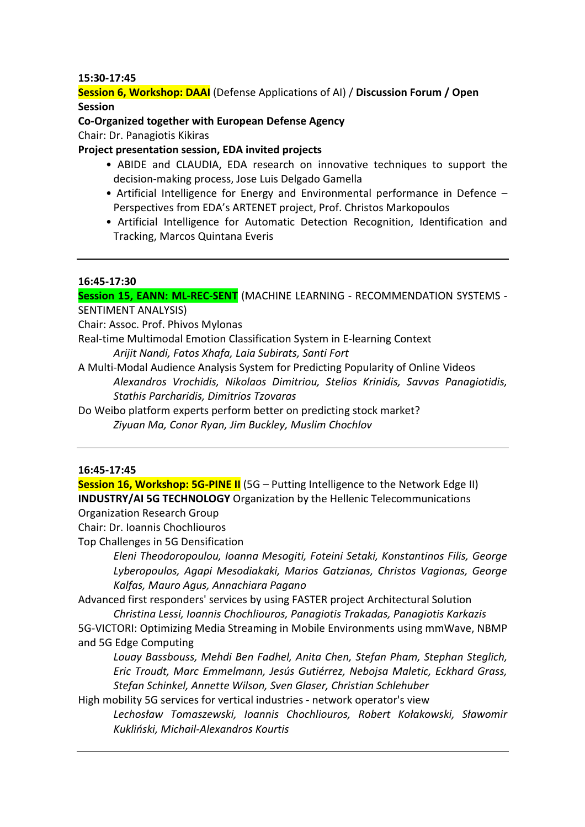# **15:30-17:45**

# **Session 6, Workshop: DAAI** (Defense Applications of AI) / **Discussion Forum / Open Session**

**Co-Organized together with European Defense Agency**  Chair: Dr. Panagiotis Kikiras

# **Project presentation session, EDA invited projects**

- ABIDE and CLAUDIA, EDA research on innovative techniques to support the decision-making process, Jose Luis Delgado Gamella
- Artificial Intelligence for Energy and Environmental performance in Defence Perspectives from EDA's ARTENET project, Prof. Christos Markopoulos
- Artificial Intelligence for Automatic Detection Recognition, Identification and Tracking, Marcos Quintana Everis

# **16:45-17:30**

**Session 15, EANN: ML-REC-SENT** (MACHINE LEARNING - RECOMMENDATION SYSTEMS - SENTIMENT ANALYSIS)

Chair: Assoc. Prof. Phivos Mylonas

Real-time Multimodal Emotion Classification System in E-learning Context  *Arijit Nandi, Fatos Xhafa, Laia Subirats, Santi Fort* 

A Multi-Modal Audience Analysis System for Predicting Popularity of Online Videos *Alexandros Vrochidis, Nikolaos Dimitriou, Stelios Krinidis, Savvas Panagiotidis, Stathis Parcharidis, Dimitrios Tzovaras* 

Do Weibo platform experts perform better on predicting stock market?  *Ziyuan Ma, Conor Ryan, Jim Buckley, Muslim Chochlov* 

# **16:45-17:45**

**Session 16, Workshop: 5G-PINE II** (5G – Putting Intelligence to the Network Edge II) **INDUSTRY/AI 5G TECHNOLOGY** Organization by the Hellenic Telecommunications

Organization Research Group

Chair: Dr. Ioannis Chochliouros

Top Challenges in 5G Densification

*Eleni Theodoropoulou, Ioanna Mesogiti, Foteini Setaki, Konstantinos Filis, George Lyberopoulos, Agapi Mesodiakaki, Marios Gatzianas, Christos Vagionas, George Kalfas, Mauro Agus, Annachiara Pagano* 

Advanced first responders' services by using FASTER project Architectural Solution  *Christina Lessi, Ioannis Chochliouros, Panagiotis Trakadas, Panagiotis Karkazis* 

5G-VICTORI: Optimizing Media Streaming in Mobile Environments using mmWave, NBMP and 5G Edge Computing

*Louay Bassbouss, Mehdi Ben Fadhel, Anita Chen, Stefan Pham, Stephan Steglich, Eric Troudt, Marc Emmelmann, Jesús Gutiérrez, Nebojsa Maletic, Eckhard Grass, Stefan Schinkel, Annette Wilson, Sven Glaser, Christian Schlehuber* 

High mobility 5G services for vertical industries - network operator's view

*Lechosław Tomaszewski, Ioannis Chochliouros, Robert Kołakowski, Sławomir Kukliński, Michail-Alexandros Kourtis*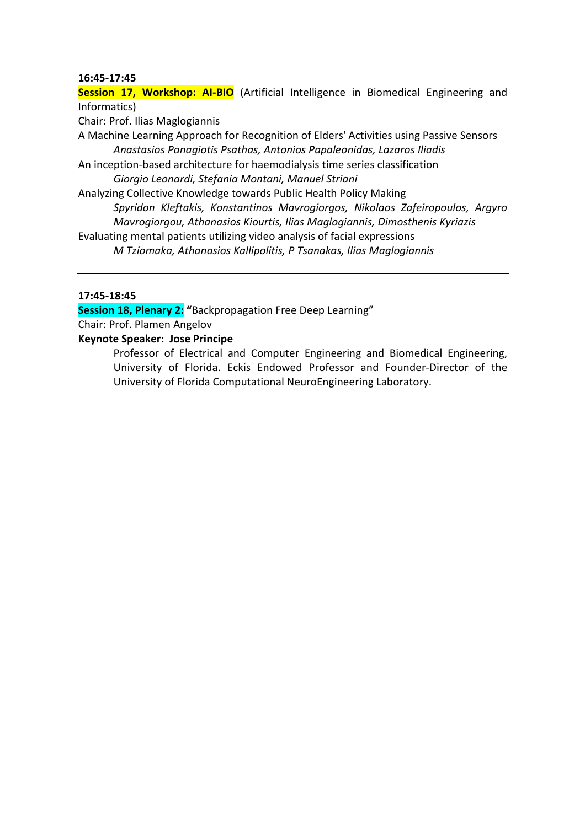### **16:45-17:45**

**Session 17, Workshop: AI-BIO** (Artificial Intelligence in Biomedical Engineering and Informatics)

Chair: Prof. Ilias Maglogiannis

A Machine Learning Approach for Recognition of Elders' Activities using Passive Sensors  *Anastasios Panagiotis Psathas, Antonios Papaleonidas, Lazaros Iliadis* 

An inception-based architecture for haemodialysis time series classification  *Giorgio Leonardi, Stefania Montani, Manuel Striani*

Analyzing Collective Knowledge towards Public Health Policy Making *Spyridon Kleftakis, Konstantinos Mavrogiorgos, Nikolaos Zafeiropoulos, Argyro* 

*Mavrogiorgou, Athanasios Kiourtis, Ilias Maglogiannis, Dimosthenis Kyriazis* 

Evaluating mental patients utilizing video analysis of facial expressions

 *M Tziomaka, Athanasios Kallipolitis, P Tsanakas, Ilias Maglogiannis* 

#### **17:45-18:45**

**Session 18, Plenary 2: "**Backpropagation Free Deep Learning"

Chair: Prof. Plamen Angelov

#### **Keynote Speaker: Jose Principe**

Professor of Electrical and Computer Engineering and Biomedical Engineering, University of Florida. Eckis Endowed Professor and Founder-Director of the University of Florida Computational NeuroEngineering Laboratory.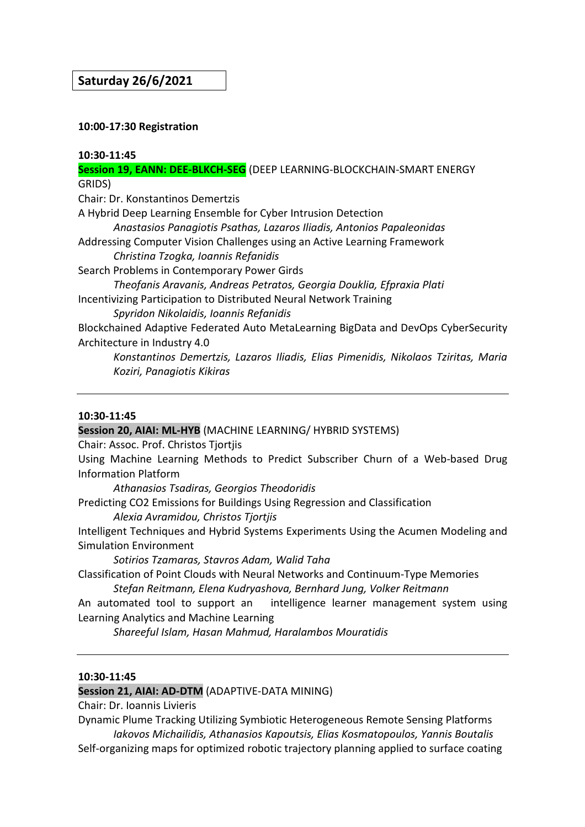#### **10:00-17:30 Registration**

#### **10:30-11:45**

**Session 19, EANN: DEE-BLKCH-SEG** (DEEP LEARNING-BLOCKCHAIN-SMART ENERGY GRIDS) Chair: Dr. Konstantinos Demertzis A Hybrid Deep Learning Ensemble for Cyber Intrusion Detection  *Anastasios Panagiotis Psathas, Lazaros Iliadis, Antonios Papaleonidas*  Addressing Computer Vision Challenges using an Active Learning Framework  *Christina Tzogka, Ioannis Refanidis*  Search Problems in Contemporary Power Girds  *Theofanis Aravanis, Andreas Petratos, Georgia Douklia, Efpraxia Plati*  Incentivizing Participation to Distributed Neural Network Training  *Spyridon Nikolaidis, Ioannis Refanidis*  Blockchained Αdaptive Federated Auto MetaLearning BigData and DevOps CyberSecurity Architecture in Industry 4.0

*Konstantinos Demertzis, Lazaros Iliadis, Elias Pimenidis, Nikolaos Tziritas, Maria Koziri, Panagiotis Kikiras* 

#### **10:30-11:45**

**Session 20, AIAI: ML-HYB** (MACHINE LEARNING/ HYBRID SYSTEMS)

Chair: Assoc. Prof. Christos Tjortjis

Using Machine Learning Methods to Predict Subscriber Churn of a Web-based Drug Information Platform

 *Athanasios Tsadiras, Georgios Theodoridis* 

Predicting CO2 Emissions for Buildings Using Regression and Classification

 *Alexia Avramidou, Christos Tjortjis* 

Intelligent Techniques and Hybrid Systems Experiments Using the Acumen Modeling and Simulation Environment

 *Sotirios Tzamaras, Stavros Adam, Walid Taha* 

Classification of Point Clouds with Neural Networks and Continuum-Type Memories  *Stefan Reitmann, Elena Kudryashova, Bernhard Jung, Volker Reitmann* 

An automated tool to support an intelligence learner management system using Learning Analytics and Machine Learning

 *Shareeful Islam, Hasan Mahmud, Haralambos Mouratidis* 

#### **10:30-11:45**

# **Session 21, AIAI: AD-DTM** (ADAPTIVE-DATA MINING)

Chair: Dr. Ioannis Livieris

Dynamic Plume Tracking Utilizing Symbiotic Heterogeneous Remote Sensing Platforms  *Iakovos Michailidis, Athanasios Kapoutsis, Elias Kosmatopoulos, Yannis Boutalis* 

Self-organizing maps for optimized robotic trajectory planning applied to surface coating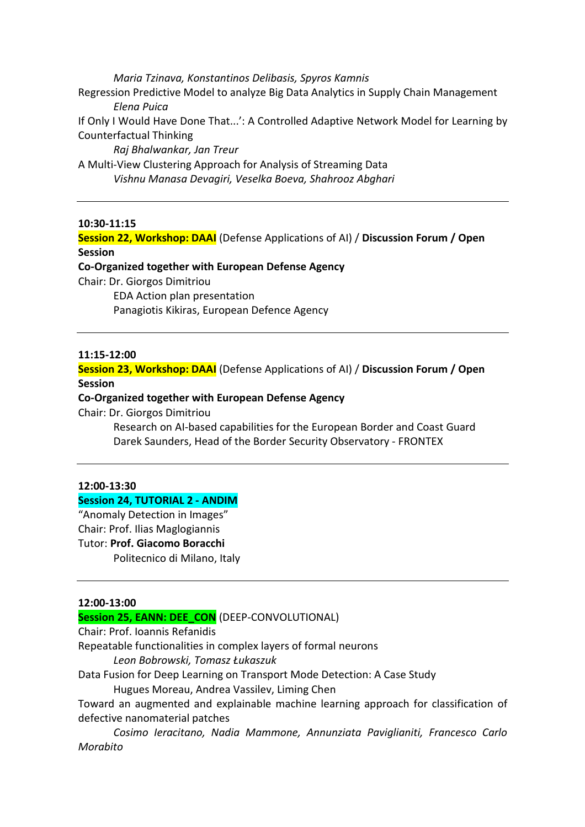*Maria Tzinava, Konstantinos Delibasis, Spyros Kamnis* 

Regression Predictive Model to analyze Big Data Analytics in Supply Chain Management  *Elena Puica* 

If Only I Would Have Done That...': A Controlled Adaptive Network Model for Learning by Counterfactual Thinking

*Raj Bhalwankar, Jan Treur* 

A Multi-View Clustering Approach for Analysis of Streaming Data

 *Vishnu Manasa Devagiri, Veselka Boeva, Shahrooz Abghari* 

# **10:30-11:15**

**Session 22, Workshop: DAAI** (Defense Applications of AI) / **Discussion Forum / Open Session** 

#### **Co-Organized together with European Defense Agency**

Chair: Dr. Giorgos Dimitriou

EDA Action plan presentation Panagiotis Kikiras, European Defence Agency

# **11:15-12:00**

**Session 23, Workshop: DAAI** (Defense Applications of AI) / **Discussion Forum / Open Session** 

#### **Co-Organized together with European Defense Agency**

Chair: Dr. Giorgos Dimitriou

Research on AI-based capabilities for the European Border and Coast Guard Darek Saunders, Head of the Border Security Observatory - FRONTEX

#### **12:00-13:30**

# **Session 24, TUTORIAL 2 - ANDIM**

"Anomaly Detection in Images" Chair: Prof. Ilias Maglogiannis Tutor: **Prof. Giacomo Boracchi** 

Politecnico di Milano, Italy

#### **12:00-13:00**

**Session 25, EANN: DEE\_CON** (DEEP-CONVOLUTIONAL)

Chair: Prof. Ioannis Refanidis

Repeatable functionalities in complex layers of formal neurons

 *Leon Bobrowski, Tomasz Łukaszuk* 

Data Fusion for Deep Learning on Transport Mode Detection: A Case Study

Hugues Moreau, Andrea Vassilev, Liming Chen

Toward an augmented and explainable machine learning approach for classification of defective nanomaterial patches

 *Cosimo Ieracitano, Nadia Mammone, Annunziata Paviglianiti, Francesco Carlo Morabito*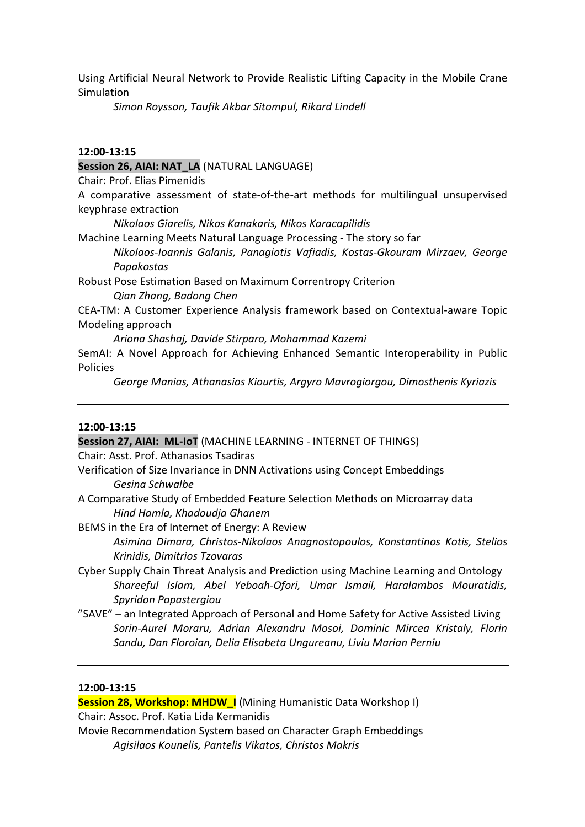Using Artificial Neural Network to Provide Realistic Lifting Capacity in the Mobile Crane **Simulation** 

 *Simon Roysson, Taufik Akbar Sitompul, Rikard Lindell* 

#### **12:00-13:15**

# **Session 26, AIAI: NAT\_LA** (NATURAL LANGUAGE)

Chair: Prof. Elias Pimenidis

A comparative assessment of state-of-the-art methods for multilingual unsupervised keyphrase extraction

 *Nikolaos Giarelis, Nikos Kanakaris, Nikos Karacapilidis* 

Machine Learning Meets Natural Language Processing - The story so far

*Nikolaos-Ioannis Galanis, Panagiotis Vafiadis, Kostas-Gkouram Mirzaev, George Papakostas* 

Robust Pose Estimation Based on Maximum Correntropy Criterion *Qian Zhang, Badong Chen* 

CEA-TM: A Customer Experience Analysis framework based on Contextual-aware Topic Modeling approach

 *Ariona Shashaj, Davide Stirparo, Mohammad Kazemi* 

SemAI: A Novel Approach for Achieving Enhanced Semantic Interoperability in Public Policies

 *George Manias, Athanasios Kiourtis, Argyro Mavrogiorgou, Dimosthenis Kyriazis* 

#### **12:00-13:15**

**Session 27, AIAI: ML-IoT** (MACHINE LEARNING - INTERNET OF THINGS)

Chair: Asst. Prof. Athanasios Tsadiras

- Verification of Size Invariance in DNN Activations using Concept Embeddings  *Gesina Schwalbe*
- A Comparative Study of Embedded Feature Selection Methods on Microarray data  *Hind Hamla, Khadoudja Ghanem*
- BEMS in the Era of Internet of Energy: A Review

*Asimina Dimara, Christos-Nikolaos Anagnostopoulos, Konstantinos Kotis, Stelios Krinidis, Dimitrios Tzovaras* 

- Cyber Supply Chain Threat Analysis and Prediction using Machine Learning and Ontology *Shareeful Islam, Abel Yeboah-Ofori, Umar Ismail, Haralambos Mouratidis, Spyridon Papastergiou*
- "SAVE" an Integrated Approach of Personal and Home Safety for Active Assisted Living *Sorin-Aurel Moraru, Adrian Alexandru Mosoi, Dominic Mircea Kristaly, Florin Sandu, Dan Floroian, Delia Elisabeta Ungureanu, Liviu Marian Perniu*

# **12:00-13:15**

**Session 28, Workshop: MHDW\_I** (Mining Humanistic Data Workshop I) Chair: Assoc. Prof. Katia Lida Kermanidis Movie Recommendation System based on Character Graph Embeddings  *Agisilaos Kounelis, Pantelis Vikatos, Christos Makris*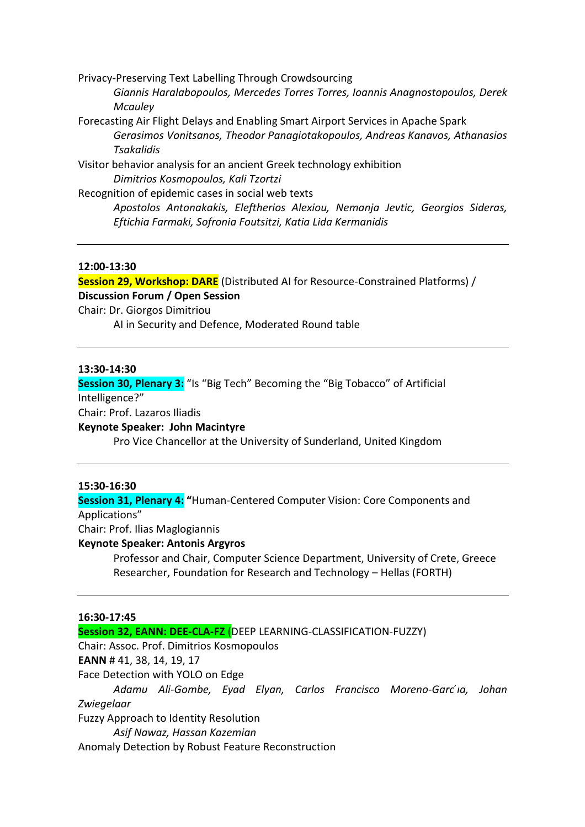Privacy-Preserving Text Labelling Through Crowdsourcing

*Giannis Haralabopoulos, Mercedes Torres Torres, Ioannis Anagnostopoulos, Derek Mcauley* 

- Forecasting Air Flight Delays and Enabling Smart Airport Services in Apache Spark *Gerasimos Vonitsanos, Theodor Panagiotakopoulos, Andreas Kanavos, Athanasios Tsakalidis*
- Visitor behavior analysis for an ancient Greek technology exhibition  *Dimitrios Kosmopoulos, Kali Tzortzi*
- Recognition of epidemic cases in social web texts

*Apostolos Antonakakis, Eleftherios Alexiou, Nemanja Jevtic, Georgios Sideras, Eftichia Farmaki, Sofronia Foutsitzi, Katia Lida Kermanidis* 

#### **12:00-13:30**

# **Session 29, Workshop: DARE** (Distributed AI for Resource-Constrained Platforms) / **Discussion Forum / Open Session**

Chair: Dr. Giorgos Dimitriou

AI in Security and Defence, Moderated Round table

#### **13:30-14:30**

**Session 30, Plenary 3:** "Is "Big Tech" Becoming the "Big Tobacco" of Artificial

Intelligence?"

Chair: Prof. Lazaros Iliadis

**Keynote Speaker: John Macintyre** 

Pro Vice Chancellor at the University of Sunderland, United Kingdom

#### **15:30-16:30**

**Session 31, Plenary 4: "**Human-Centered Computer Vision: Core Components and Applications"

Chair: Prof. Ilias Maglogiannis

#### **Keynote Speaker: Antonis Argyros**

Professor and Chair, Computer Science Department, University of Crete, Greece Researcher, Foundation for Research and Technology – Hellas (FORTH)

#### **16:30-17:45**

**Session 32, EANN: DEE-CLA-FZ** (DEEP LEARNING-CLASSIFICATION-FUZZY)

Chair: Assoc. Prof. Dimitrios Kosmopoulos

**EANN** # 41, 38, 14, 19, 17

Face Detection with YOLO on Edge

 *Adamu Ali-Gombe, Eyad Elyan, Carlos Francisco Moreno-Garc ́ıa, Johan Zwiegelaar* 

Fuzzy Approach to Identity Resolution

 *Asif Nawaz, Hassan Kazemian* 

Anomaly Detection by Robust Feature Reconstruction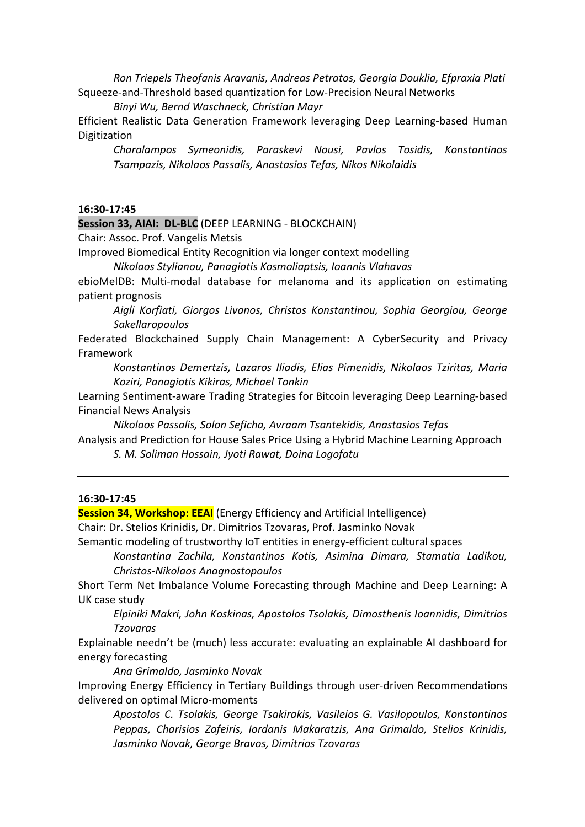*Ron Triepels Theofanis Aravanis, Andreas Petratos, Georgia Douklia, Efpraxia Plati*  Squeeze-and-Threshold based quantization for Low-Precision Neural Networks

 *Binyi Wu, Bernd Waschneck, Christian Mayr* 

Efficient Realistic Data Generation Framework leveraging Deep Learning-based Human Digitization

*Charalampos Symeonidis, Paraskevi Nousi, Pavlos Tosidis, Konstantinos Tsampazis, Nikolaos Passalis, Anastasios Tefas, Nikos Nikolaidis* 

#### **16:30-17:45**

**Session 33, AIAI: DL-BLC** (DEEP LEARNING - BLOCKCHAIN)

Chair: Assoc. Prof. Vangelis Metsis

Improved Biomedical Entity Recognition via longer context modelling

 *Nikolaos Stylianou, Panagiotis Kosmoliaptsis, Ioannis Vlahavas* 

ebioMelDB: Multi-modal database for melanoma and its application on estimating patient prognosis

*Aigli Korfiati, Giorgos Livanos, Christos Konstantinou, Sophia Georgiou, George Sakellaropoulos* 

Federated Blockchained Supply Chain Management: A CyberSecurity and Privacy Framework

*Konstantinos Demertzis, Lazaros Iliadis, Elias Pimenidis, Nikolaos Tziritas, Maria Koziri, Panagiotis Kikiras, Michael Tonkin* 

Learning Sentiment-aware Trading Strategies for Bitcoin leveraging Deep Learning-based Financial News Analysis

 *Nikolaos Passalis, Solon Seficha, Avraam Tsantekidis, Anastasios Tefas*  Analysis and Prediction for House Sales Price Using a Hybrid Machine Learning Approach

 *S. M. Soliman Hossain, Jyoti Rawat, Doina Logofatu*

#### **16:30-17:45**

**Session 34, Workshop: EEAI** (Energy Efficiency and Artificial Intelligence) Chair: Dr. Stelios Krinidis, Dr. Dimitrios Tzovaras, Prof. Jasminko Novak

Semantic modeling of trustworthy IoT entities in energy-efficient cultural spaces

*Konstantina Zachila, Konstantinos Kotis, Asimina Dimara, Stamatia Ladikou, Christos-Nikolaos Anagnostopoulos* 

Short Term Net Imbalance Volume Forecasting through Machine and Deep Learning: A UK case study

*Elpiniki Makri, John Koskinas, Apostolos Tsolakis, Dimosthenis Ioannidis, Dimitrios Tzovaras* 

Explainable needn't be (much) less accurate: evaluating an explainable AI dashboard for energy forecasting

 *Ana Grimaldo, Jasminko Novak* 

Improving Energy Efficiency in Tertiary Buildings through user-driven Recommendations delivered on optimal Micro-moments

*Apostolos C. Tsolakis, George Tsakirakis, Vasileios G. Vasilopoulos, Konstantinos Peppas, Charisios Zafeiris, Iordanis Makaratzis, Ana Grimaldo, Stelios Krinidis, Jasminko Novak, George Bravos, Dimitrios Tzovaras*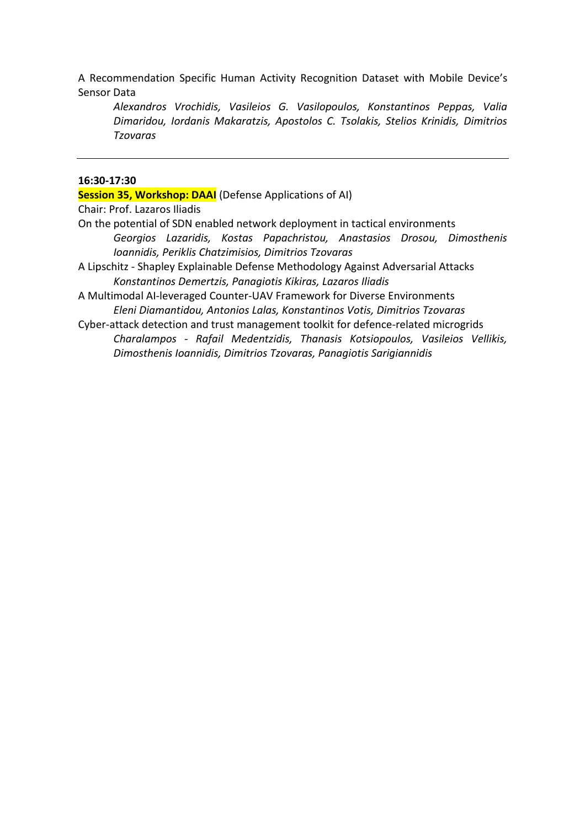A Recommendation Specific Human Activity Recognition Dataset with Mobile Device's Sensor Data

*Alexandros Vrochidis, Vasileios G. Vasilopoulos, Konstantinos Peppas, Valia Dimaridou, Iordanis Makaratzis, Apostolos C. Tsolakis, Stelios Krinidis, Dimitrios Tzovaras* 

# **16:30-17:30**

**Session 35, Workshop: DAAI** (Defense Applications of AI)

Chair: Prof. Lazaros Iliadis

- On the potential of SDN enabled network deployment in tactical environments *Georgios Lazaridis, Kostas Papachristou, Anastasios Drosou, Dimosthenis Ioannidis, Periklis Chatzimisios, Dimitrios Tzovaras*
- A Lipschitz Shapley Explainable Defense Methodology Against Adversarial Attacks *Konstantinos Demertzis, Panagiotis Kikiras, Lazaros Iliadis*
- A Multimodal AI-leveraged Counter-UAV Framework for Diverse Environments  *Eleni Diamantidou, Antonios Lalas, Konstantinos Votis, Dimitrios Tzovaras*
- Cyber-attack detection and trust management toolkit for defence-related microgrids *Charalampos - Rafail Medentzidis, Thanasis Kotsiopoulos, Vasileios Vellikis, Dimosthenis Ioannidis, Dimitrios Tzovaras, Panagiotis Sarigiannidis*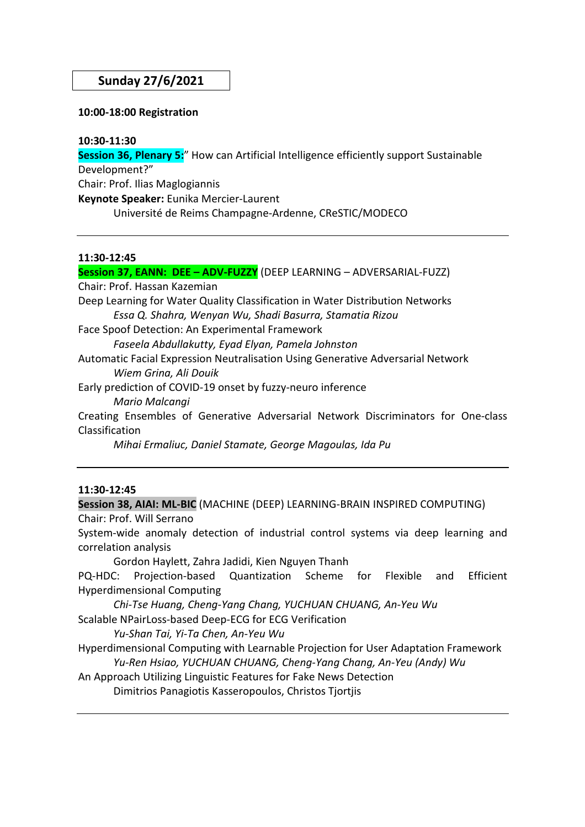# **Sunday 27/6/2021**

#### **10:00-18:00 Registration**

#### **10:30-11:30**

**Session 36, Plenary 5:**" How can Artificial Intelligence efficiently support Sustainable Development?"

Chair: Prof. Ilias Maglogiannis

**Keynote Speaker:** Eunika Mercier-Laurent

Université de Reims Champagne-Ardenne, CReSTIC/MODECO

# **11:30-12:45**

**Session 37, EANN: DEE – ADV-FUZZY** (DEEP LEARNING – ADVERSARIAL-FUZZ)

Chair: Prof. Hassan Kazemian

Deep Learning for Water Quality Classification in Water Distribution Networks  *Essa Q. Shahra, Wenyan Wu, Shadi Basurra, Stamatia Rizou* 

Face Spoof Detection: An Experimental Framework

 *Faseela Abdullakutty, Eyad Elyan, Pamela Johnston* 

Automatic Facial Expression Neutralisation Using Generative Adversarial Network  *Wiem Grina, Ali Douik* 

Early prediction of COVID-19 onset by fuzzy-neuro inference

*Mario Malcangi* 

Creating Ensembles of Generative Adversarial Network Discriminators for One-class Classification

*Mihai Ermaliuc, Daniel Stamate, George Magoulas, Ida Pu* 

# **11:30-12:45**

**Session 38, AIAI: ML-BIC** (MACHINE (DEEP) LEARNING-BRAIN INSPIRED COMPUTING) Chair: Prof. Will Serrano

System-wide anomaly detection of industrial control systems via deep learning and correlation analysis

Gordon Haylett, Zahra Jadidi, Kien Nguyen Thanh

PQ-HDC: Projection-based Quantization Scheme for Flexible and Efficient Hyperdimensional Computing

 *Chi-Tse Huang, Cheng-Yang Chang, YUCHUAN CHUANG, An-Yeu Wu*  Scalable NPairLoss-based Deep-ECG for ECG Verification

 *Yu-Shan Tai, Yi-Ta Chen, An-Yeu Wu* 

Hyperdimensional Computing with Learnable Projection for User Adaptation Framework  *Yu-Ren Hsiao, YUCHUAN CHUANG, Cheng-Yang Chang, An-Yeu (Andy) Wu* 

An Approach Utilizing Linguistic Features for Fake News Detection

Dimitrios Panagiotis Kasseropoulos, Christos Tjortjis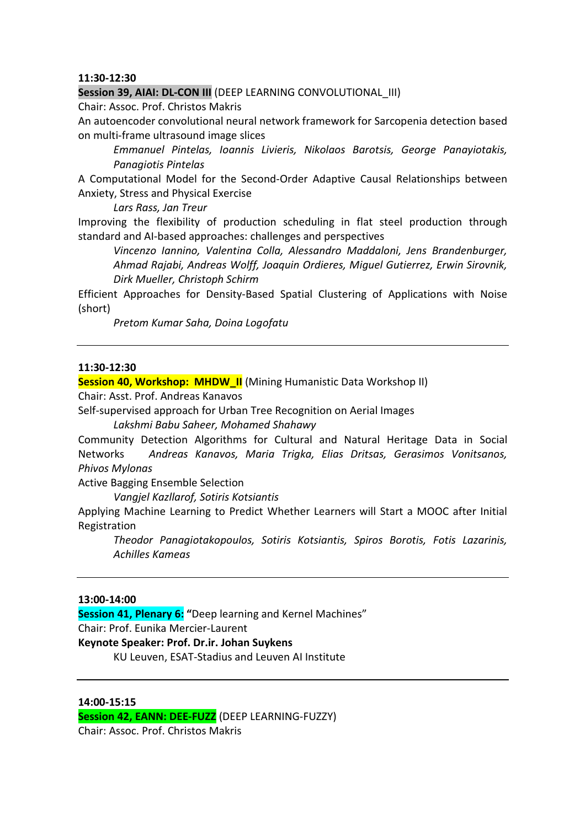#### **11:30-12:30**

**Session 39, AIAI: DL-CON III** (DEEP LEARNING CONVOLUTIONAL\_III)

Chair: Assoc. Prof. Christos Makris

An autoencoder convolutional neural network framework for Sarcopenia detection based on multi-frame ultrasound image slices

*Emmanuel Pintelas, Ioannis Livieris, Nikolaos Barotsis, George Panayiotakis, Panagiotis Pintelas* 

A Computational Model for the Second-Order Adaptive Causal Relationships between Anxiety, Stress and Physical Exercise

 *Lars Rass, Jan Treur* 

Improving the flexibility of production scheduling in flat steel production through standard and AI-based approaches: challenges and perspectives

*Vincenzo Iannino, Valentina Colla, Alessandro Maddaloni, Jens Brandenburger, Ahmad Rajabi, Andreas Wolff, Joaquin Ordieres, Miguel Gutierrez, Erwin Sirovnik, Dirk Mueller, Christoph Schirm* 

Efficient Approaches for Density-Based Spatial Clustering of Applications with Noise (short)

 *Pretom Kumar Saha, Doina Logofatu* 

# **11:30-12:30**

**Session 40, Workshop: MHDW II** (Mining Humanistic Data Workshop II)

Chair: Asst. Prof. Andreas Kanavos

Self-supervised approach for Urban Tree Recognition on Aerial Images

 *Lakshmi Babu Saheer, Mohamed Shahawy* 

Community Detection Algorithms for Cultural and Natural Heritage Data in Social Networks *Andreas Kanavos, Maria Trigka, Elias Dritsas, Gerasimos Vonitsanos, Phivos Mylonas* 

Active Bagging Ensemble Selection

*Vangjel Kazllarof, Sotiris Kotsiantis* 

Applying Machine Learning to Predict Whether Learners will Start a MOOC after Initial Registration

*Theodor Panagiotakopoulos, Sotiris Kotsiantis, Spiros Borotis, Fotis Lazarinis, Achilles Kameas* 

#### **13:00-14:00**

**Session 41, Plenary 6: "**Deep learning and Kernel Machines"

Chair: Prof. Eunika Mercier-Laurent

**Keynote Speaker: Prof. Dr.ir. Johan Suykens** 

KU Leuven, ESAT-Stadius and Leuven AI Institute

**14:00-15:15** 

**Session 42, EANN: DEE-FUZZ** (DEEP LEARNING-FUZZY)

Chair: Assoc. Prof. Christos Makris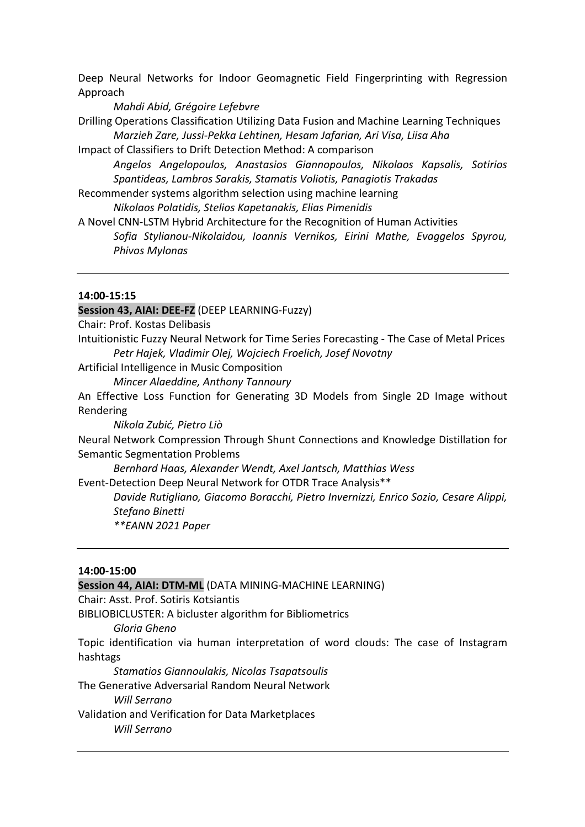Deep Neural Networks for Indoor Geomagnetic Field Fingerprinting with Regression Approach

 *Mahdi Abid, Grégoire Lefebvre* 

Drilling Operations Classification Utilizing Data Fusion and Machine Learning Techniques  *Marzieh Zare, Jussi-Pekka Lehtinen, Hesam Jafarian, Ari Visa, Liisa Aha* 

Impact of Classifiers to Drift Detection Method: A comparison

*Angelos Angelopoulos, Anastasios Giannopoulos, Nikolaos Kapsalis, Sotirios Spantideas, Lambros Sarakis, Stamatis Voliotis, Panagiotis Trakadas* 

Recommender systems algorithm selection using machine learning  *Nikolaos Polatidis, Stelios Kapetanakis, Elias Pimenidis* 

A Novel CNN-LSTM Hybrid Architecture for the Recognition of Human Activities *Sofia Stylianou-Nikolaidou, Ioannis Vernikos, Eirini Mathe, Evaggelos Spyrou, Phivos Mylonas* 

#### **14:00-15:15**

**Session 43, AIAI: DEE-FZ** (DEEP LEARNING-Fuzzy)

Chair: Prof. Kostas Delibasis

Intuitionistic Fuzzy Neural Network for Time Series Forecasting - The Case of Metal Prices *Petr Hajek, Vladimir Olej, Wojciech Froelich, Josef Novotny* 

Artificial Intelligence in Music Composition

 *Mincer Alaeddine, Anthony Tannoury* 

An Effective Loss Function for Generating 3D Models from Single 2D Image without Rendering

 *Nikola Zubić, Pietro Liò* 

Neural Network Compression Through Shunt Connections and Knowledge Distillation for Semantic Segmentation Problems

 *Bernhard Haas, Alexander Wendt, Axel Jantsch, Matthias Wess* 

Event-Detection Deep Neural Network for OTDR Trace Analysis\*\*

*Davide Rutigliano, Giacomo Boracchi, Pietro Invernizzi, Enrico Sozio, Cesare Alippi, Stefano Binetti* 

*\*\*EANN 2021 Paper* 

#### **14:00-15:00**

**Session 44, AIAI: DTM-ML** (DATA MINING-MACHINE LEARNING)

Chair: Asst. Prof. Sotiris Kotsiantis

BIBLIOBICLUSTER: A bicluster algorithm for Bibliometrics

 *Gloria Gheno* 

Topic identification via human interpretation of word clouds: The case of Instagram hashtags

 *Stamatios Giannoulakis, Nicolas Tsapatsoulis* 

The Generative Adversarial Random Neural Network

 *Will Serrano* 

Validation and Verification for Data Marketplaces

 *Will Serrano*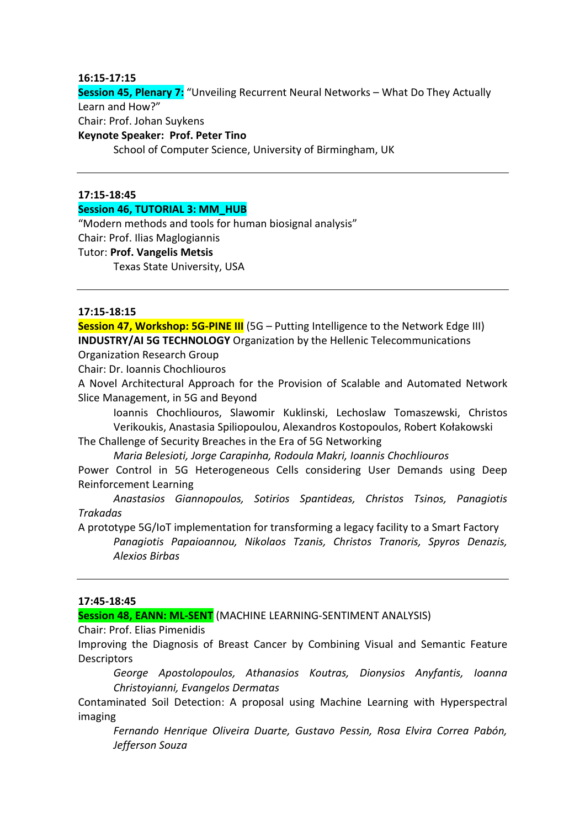#### **16:15-17:15**

**Session 45, Plenary 7:** "Unveiling Recurrent Neural Networks – What Do They Actually Learn and How?" Chair: Prof. Johan Suykens **Keynote Speaker: Prof. Peter Tino**  School of Computer Science, University of Birmingham, UK

#### **17:15-18:45 Session 46, TUTORIAL 3: MM\_HUB**

"Modern methods and tools for human biosignal analysis" Chair: Prof. Ilias Maglogiannis Tutor: **Prof. Vangelis Metsis**  Texas State University, USA

#### **17:15-18:15**

**Session 47, Workshop: 5G-PINE III** (5G – Putting Intelligence to the Network Edge III) **INDUSTRY/AI 5G TECHNOLOGY** Organization by the Hellenic Telecommunications

Organization Research Group

Chair: Dr. Ioannis Chochliouros

A Novel Architectural Approach for the Provision of Scalable and Automated Network Slice Management, in 5G and Beyond

Ioannis Chochliouros, Slawomir Kuklinski, Lechoslaw Tomaszewski, Christos Verikoukis, Anastasia Spiliopoulou, Alexandros Kostopoulos, Robert Kołakowski

The Challenge of Security Breaches in the Era of 5G Networking

 *Maria Belesioti, Jorge Carapinha, Rodoula Makri, Ioannis Chochliouros* 

Power Control in 5G Heterogeneous Cells considering User Demands using Deep Reinforcement Learning

 *Anastasios Giannopoulos, Sotirios Spantideas, Christos Tsinos, Panagiotis Trakadas* 

A prototype 5G/IoT implementation for transforming a legacy facility to a Smart Factory *Panagiotis Papaioannou, Nikolaos Tzanis, Christos Tranoris, Spyros Denazis, Alexios Birbas* 

#### **17:45-18:45**

**Session 48, EANN: ML-SENT** (MACHINE LEARNING-SENTIMENT ANALYSIS)

Chair: Prof. Elias Pimenidis

Improving the Diagnosis of Breast Cancer by Combining Visual and Semantic Feature **Descriptors** 

*George Apostolopoulos, Athanasios Koutras, Dionysios Anyfantis, Ioanna Christoyianni, Evangelos Dermatas* 

Contaminated Soil Detection: A proposal using Machine Learning with Hyperspectral imaging

*Fernando Henrique Oliveira Duarte, Gustavo Pessin, Rosa Elvira Correa Pabón, Jefferson Souza*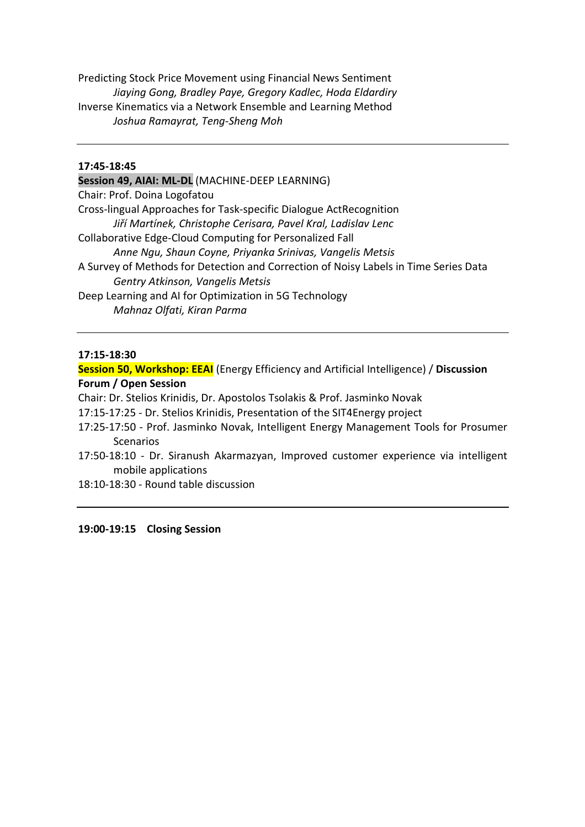Predicting Stock Price Movement using Financial News Sentiment *Jiaying Gong, Bradley Paye, Gregory Kadlec, Hoda Eldardiry*  Inverse Kinematics via a Network Ensemble and Learning Method  *Joshua Ramayrat, Teng-Sheng Moh* 

# **17:45-18:45**

**Session 49, AIAI: ML-DL** (MACHINE-DEEP LEARNING) Chair: Prof. Doina Logofatou Cross-lingual Approaches for Task-specific Dialogue ActRecognition  *Jiří Martínek, Christophe Cerisara, Pavel Kral, Ladislav Lenc*  Collaborative Edge-Cloud Computing for Personalized Fall  *Anne Ngu, Shaun Coyne, Priyanka Srinivas, Vangelis Metsis*  A Survey of Methods for Detection and Correction of Noisy Labels in Time Series Data  *Gentry Atkinson, Vangelis Metsis*  Deep Learning and AI for Optimization in 5G Technology  *Mahnaz Olfati, Kiran Parma* 

#### **17:15-18:30**

**Session 50, Workshop: EEAI** (Energy Efficiency and Artificial Intelligence) / **Discussion Forum / Open Session**

Chair: Dr. Stelios Krinidis, Dr. Apostolos Tsolakis & Prof. Jasminko Novak

17:15-17:25 - Dr. Stelios Krinidis, Presentation of the SIT4Energy project

- 17:25-17:50 Prof. Jasminko Novak, Intelligent Energy Management Tools for Prosumer Scenarios
- 17:50-18:10 Dr. Siranush Akarmazyan, Improved customer experience via intelligent mobile applications
- 18:10-18:30 Round table discussion

**19:00-19:15 Closing Session**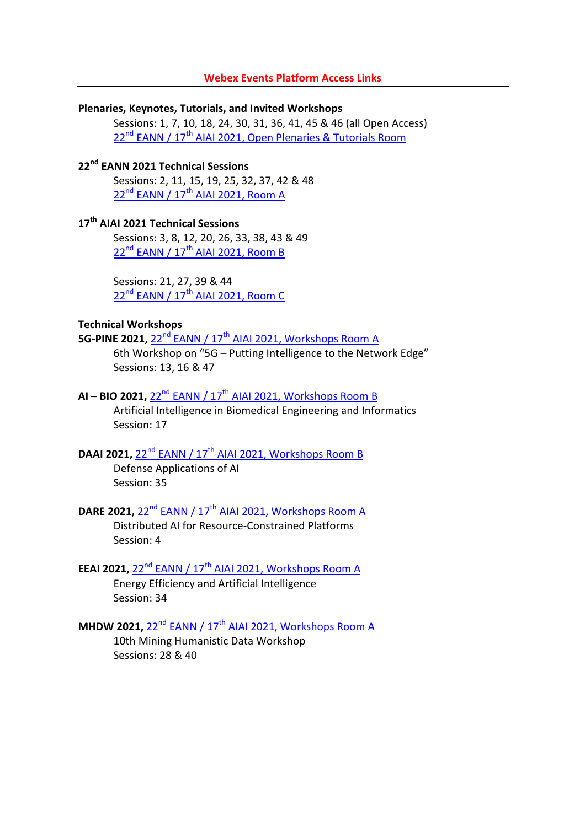#### **Webex Events Platform Access Links**

#### **Plenaries, Keynotes, Tutorials, and Invited Workshops**

Sessions: 1, 7, 10, 18, 24, 30, 31, 36, 41, 45 & 46 (all Open Access) 22<sup>nd</sup> EANN / 17<sup>th</sup> AIAI 2021, Open Plenaries & Tutorials Room

# **22nd EANN 2021 Technical Sessions**

Sessions: 2, 11, 15, 19, 25, 32, 37, 42 & 48 22nd EANN / 17th AIAI 2021, Room A

# **17th AIAI 2021 Technical Sessions**

Sessions: 3, 8, 12, 20, 26, 33, 38, 43 & 49 22<sup>nd</sup> EANN / 17<sup>th</sup> AIAI 2021, Room B

Sessions: 21, 27, 39 & 44  $22^{nd}$  EANN /  $17^{th}$  AIAI 2021, Room C

#### **Technical Workshops**

**5G-PINE 2021, 22<sup>nd</sup> EANN / 17<sup>th</sup> AIAI 2021, Workshops Room A** 

6th Workshop on "5G – Putting Intelligence to the Network Edge" Sessions: 13, 16 & 47

**AI – BIO 2021,** 22nd EANN / 17th AIAI 2021, Workshops Room B

Artificial Intelligence in Biomedical Engineering and Informatics Session: 17

# DAAI 2021, 22<sup>nd</sup> EANN / 17<sup>th</sup> AIAI 2021, Workshops Room B

Defense Applications of AI Session: 35

- **DARE 2021, 22<sup>nd</sup> EANN / 17<sup>th</sup> AIAI 2021, Workshops Room A** Distributed AI for Resource-Constrained Platforms Session: 4
- **EEAI 2021, 22<sup>nd</sup> EANN / 17<sup>th</sup> AIAI 2021, Workshops Room A** Energy Efficiency and Artificial Intelligence Session: 34
- **MHDW 2021, 22<sup>nd</sup> EANN / 17<sup>th</sup> AIAI 2021, Workshops Room A**

10th Mining Humanistic Data Workshop Sessions: 28 & 40